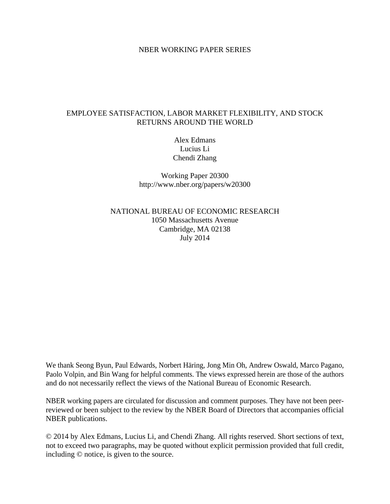## NBER WORKING PAPER SERIES

# EMPLOYEE SATISFACTION, LABOR MARKET FLEXIBILITY, AND STOCK RETURNS AROUND THE WORLD

Alex Edmans Lucius Li Chendi Zhang

Working Paper 20300 http://www.nber.org/papers/w20300

NATIONAL BUREAU OF ECONOMIC RESEARCH 1050 Massachusetts Avenue Cambridge, MA 02138 July 2014

We thank Seong Byun, Paul Edwards, Norbert Häring, Jong Min Oh, Andrew Oswald, Marco Pagano, Paolo Volpin, and Bin Wang for helpful comments. The views expressed herein are those of the authors and do not necessarily reflect the views of the National Bureau of Economic Research.

NBER working papers are circulated for discussion and comment purposes. They have not been peerreviewed or been subject to the review by the NBER Board of Directors that accompanies official NBER publications.

© 2014 by Alex Edmans, Lucius Li, and Chendi Zhang. All rights reserved. Short sections of text, not to exceed two paragraphs, may be quoted without explicit permission provided that full credit, including © notice, is given to the source.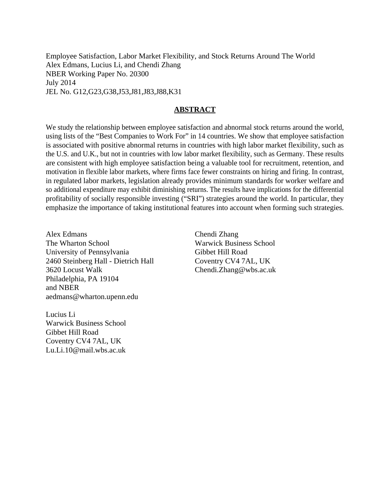Employee Satisfaction, Labor Market Flexibility, and Stock Returns Around The World Alex Edmans, Lucius Li, and Chendi Zhang NBER Working Paper No. 20300 July 2014 JEL No. G12,G23,G38,J53,J81,J83,J88,K31

## **ABSTRACT**

We study the relationship between employee satisfaction and abnormal stock returns around the world, using lists of the "Best Companies to Work For" in 14 countries. We show that employee satisfaction is associated with positive abnormal returns in countries with high labor market flexibility, such as the U.S. and U.K., but not in countries with low labor market flexibility, such as Germany. These results are consistent with high employee satisfaction being a valuable tool for recruitment, retention, and motivation in flexible labor markets, where firms face fewer constraints on hiring and firing. In contrast, in regulated labor markets, legislation already provides minimum standards for worker welfare and so additional expenditure may exhibit diminishing returns. The results have implications for the differential profitability of socially responsible investing ("SRI") strategies around the world. In particular, they emphasize the importance of taking institutional features into account when forming such strategies.

Alex Edmans The Wharton School University of Pennsylvania 2460 Steinberg Hall - Dietrich Hall 3620 Locust Walk Philadelphia, PA 19104 and NBER aedmans@wharton.upenn.edu

Lucius Li Warwick Business School Gibbet Hill Road Coventry CV4 7AL, UK Lu.Li.10@mail.wbs.ac.uk

Chendi Zhang Warwick Business School Gibbet Hill Road Coventry CV4 7AL, UK Chendi.Zhang@wbs.ac.uk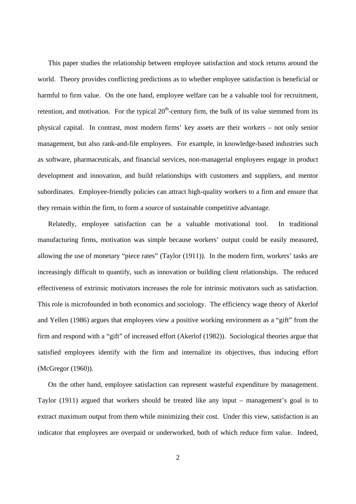This paper studies the relationship between employee satisfaction and stock returns around the world. Theory provides conflicting predictions as to whether employee satisfaction is beneficial or harmful to firm value. On the one hand, employee welfare can be a valuable tool for recruitment, retention, and motivation. For the typical  $20<sup>th</sup>$ -century firm, the bulk of its value stemmed from its physical capital. In contrast, most modern firms' key assets are their workers – not only senior management, but also rank-and-file employees. For example, in knowledge-based industries such as software, pharmaceuticals, and financial services, non-managerial employees engage in product development and innovation, and build relationships with customers and suppliers, and mentor subordinates. Employee-friendly policies can attract high-quality workers to a firm and ensure that they remain within the firm, to form a source of sustainable competitive advantage.

Relatedly, employee satisfaction can be a valuable motivational tool. In traditional manufacturing firms, motivation was simple because workers' output could be easily measured, allowing the use of monetary "piece rates" (Taylor (1911)). In the modern firm, workers' tasks are increasingly difficult to quantify, such as innovation or building client relationships. The reduced effectiveness of extrinsic motivators increases the role for intrinsic motivators such as satisfaction. This role is microfounded in both economics and sociology. The efficiency wage theory of Akerlof and Yellen (1986) argues that employees view a positive working environment as a "gift" from the firm and respond with a "gift" of increased effort (Akerlof (1982)). Sociological theories argue that satisfied employees identify with the firm and internalize its objectives, thus inducing effort (McGregor (1960)).

On the other hand, employee satisfaction can represent wasteful expenditure by management. Taylor (1911) argued that workers should be treated like any input – management's goal is to extract maximum output from them while minimizing their cost. Under this view, satisfaction is an indicator that employees are overpaid or underworked, both of which reduce firm value. Indeed,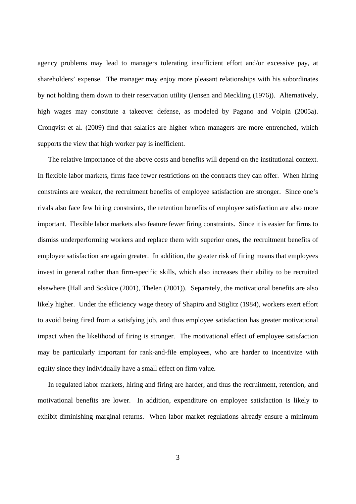agency problems may lead to managers tolerating insufficient effort and/or excessive pay, at shareholders' expense. The manager may enjoy more pleasant relationships with his subordinates by not holding them down to their reservation utility (Jensen and Meckling (1976)). Alternatively, high wages may constitute a takeover defense, as modeled by Pagano and Volpin (2005a). Cronqvist et al. (2009) find that salaries are higher when managers are more entrenched, which supports the view that high worker pay is inefficient.

The relative importance of the above costs and benefits will depend on the institutional context. In flexible labor markets, firms face fewer restrictions on the contracts they can offer. When hiring constraints are weaker, the recruitment benefits of employee satisfaction are stronger. Since one's rivals also face few hiring constraints, the retention benefits of employee satisfaction are also more important. Flexible labor markets also feature fewer firing constraints. Since it is easier for firms to dismiss underperforming workers and replace them with superior ones, the recruitment benefits of employee satisfaction are again greater. In addition, the greater risk of firing means that employees invest in general rather than firm-specific skills, which also increases their ability to be recruited elsewhere (Hall and Soskice (2001), Thelen (2001)). Separately, the motivational benefits are also likely higher. Under the efficiency wage theory of Shapiro and Stiglitz (1984), workers exert effort to avoid being fired from a satisfying job, and thus employee satisfaction has greater motivational impact when the likelihood of firing is stronger. The motivational effect of employee satisfaction may be particularly important for rank-and-file employees, who are harder to incentivize with equity since they individually have a small effect on firm value.

In regulated labor markets, hiring and firing are harder, and thus the recruitment, retention, and motivational benefits are lower. In addition, expenditure on employee satisfaction is likely to exhibit diminishing marginal returns. When labor market regulations already ensure a minimum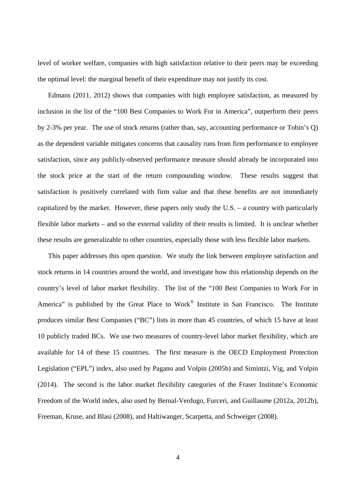level of worker welfare, companies with high satisfaction relative to their peers may be exceeding the optimal level: the marginal benefit of their expenditure may not justify its cost.

Edmans (2011, 2012) shows that companies with high employee satisfaction, as measured by inclusion in the list of the "100 Best Companies to Work For in America", outperform their peers by 2-3% per year. The use of stock returns (rather than, say, accounting performance or Tobin's Q) as the dependent variable mitigates concerns that causality runs from firm performance to employee satisfaction, since any publicly-observed performance measure should already be incorporated into the stock price at the start of the return compounding window. These results suggest that satisfaction is positively correlated with firm value and that these benefits are not immediately capitalized by the market. However, these papers only study the U.S. – a country with particularly flexible labor markets – and so the external validity of their results is limited. It is unclear whether these results are generalizable to other countries, especially those with less flexible labor markets.

This paper addresses this open question. We study the link between employee satisfaction and stock returns in 14 countries around the world, and investigate how this relationship depends on the country's level of labor market flexibility. The list of the "100 Best Companies to Work For in America" is published by the Great Place to Work<sup>®</sup> Institute in San Francisco. The Institute produces similar Best Companies ("BC") lists in more than 45 countries, of which 15 have at least 10 publicly traded BCs. We use two measures of country-level labor market flexibility, which are available for 14 of these 15 countries. The first measure is the OECD Employment Protection Legislation ("EPL") index, also used by Pagano and Volpin (2005b) and Simintzi, Vig, and Volpin (2014). The second is the labor market flexibility categories of the Fraser Institute's Economic Freedom of the World index, also used by Bernal-Verdugo, Furceri, and Guillaume (2012a, 2012b), Freeman, Kruse, and Blasi (2008), and Haltiwanger, Scarpetta, and Schweiger (2008).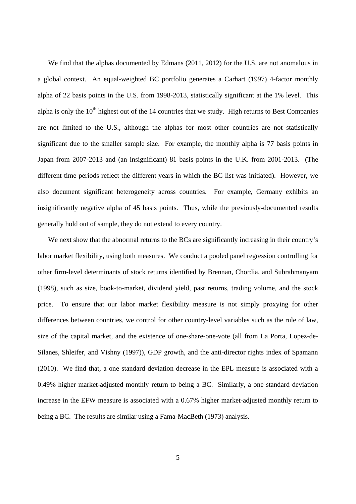We find that the alphas documented by Edmans (2011, 2012) for the U.S. are not anomalous in a global context. An equal-weighted BC portfolio generates a Carhart (1997) 4-factor monthly alpha of 22 basis points in the U.S. from 1998-2013, statistically significant at the 1% level. This alpha is only the  $10<sup>th</sup>$  highest out of the 14 countries that we study. High returns to Best Companies are not limited to the U.S., although the alphas for most other countries are not statistically significant due to the smaller sample size. For example, the monthly alpha is 77 basis points in Japan from 2007-2013 and (an insignificant) 81 basis points in the U.K. from 2001-2013. (The different time periods reflect the different years in which the BC list was initiated). However, we also document significant heterogeneity across countries. For example, Germany exhibits an insignificantly negative alpha of 45 basis points. Thus, while the previously-documented results generally hold out of sample, they do not extend to every country.

We next show that the abnormal returns to the BCs are significantly increasing in their country's labor market flexibility, using both measures. We conduct a pooled panel regression controlling for other firm-level determinants of stock returns identified by Brennan, Chordia, and Subrahmanyam (1998), such as size, book-to-market, dividend yield, past returns, trading volume, and the stock price. To ensure that our labor market flexibility measure is not simply proxying for other differences between countries, we control for other country-level variables such as the rule of law, size of the capital market, and the existence of one-share-one-vote (all from La Porta, Lopez-de-Silanes, Shleifer, and Vishny (1997)), GDP growth, and the anti-director rights index of Spamann (2010). We find that, a one standard deviation decrease in the EPL measure is associated with a 0.49% higher market-adjusted monthly return to being a BC. Similarly, a one standard deviation increase in the EFW measure is associated with a 0.67% higher market-adjusted monthly return to being a BC. The results are similar using a Fama-MacBeth (1973) analysis.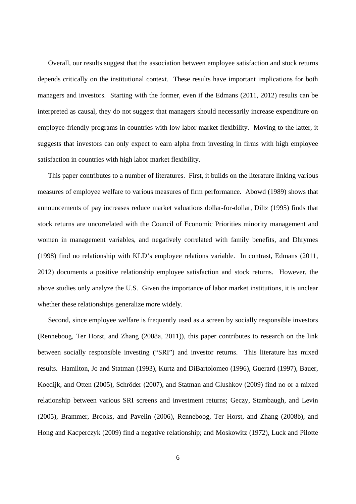Overall, our results suggest that the association between employee satisfaction and stock returns depends critically on the institutional context. These results have important implications for both managers and investors. Starting with the former, even if the Edmans (2011, 2012) results can be interpreted as causal, they do not suggest that managers should necessarily increase expenditure on employee-friendly programs in countries with low labor market flexibility. Moving to the latter, it suggests that investors can only expect to earn alpha from investing in firms with high employee satisfaction in countries with high labor market flexibility.

This paper contributes to a number of literatures. First, it builds on the literature linking various measures of employee welfare to various measures of firm performance. Abowd (1989) shows that announcements of pay increases reduce market valuations dollar-for-dollar, Diltz (1995) finds that stock returns are uncorrelated with the Council of Economic Priorities minority management and women in management variables, and negatively correlated with family benefits, and Dhrymes (1998) find no relationship with KLD's employee relations variable. In contrast, Edmans (2011, 2012) documents a positive relationship employee satisfaction and stock returns. However, the above studies only analyze the U.S. Given the importance of labor market institutions, it is unclear whether these relationships generalize more widely.

Second, since employee welfare is frequently used as a screen by socially responsible investors (Renneboog, Ter Horst, and Zhang (2008a, 2011)), this paper contributes to research on the link between socially responsible investing ("SRI") and investor returns. This literature has mixed results. Hamilton, Jo and Statman (1993), Kurtz and DiBartolomeo (1996), Guerard (1997), Bauer, Koedijk, and Otten (2005), Schröder (2007), and Statman and Glushkov (2009) find no or a mixed relationship between various SRI screens and investment returns; Geczy, Stambaugh, and Levin (2005), Brammer, Brooks, and Pavelin (2006), Renneboog, Ter Horst, and Zhang (2008b), and Hong and Kacperczyk (2009) find a negative relationship; and Moskowitz (1972), Luck and Pilotte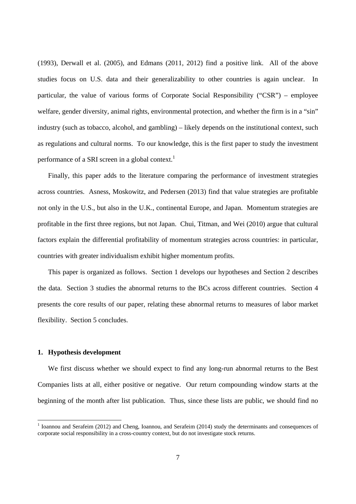(1993), Derwall et al. (2005), and Edmans (2011, 2012) find a positive link. All of the above studies focus on U.S. data and their generalizability to other countries is again unclear. In particular, the value of various forms of Corporate Social Responsibility ("CSR") – employee welfare, gender diversity, animal rights, environmental protection, and whether the firm is in a "sin" industry (such as tobacco, alcohol, and gambling) – likely depends on the institutional context, such as regulations and cultural norms. To our knowledge, this is the first paper to study the investment performance of a SRI screen in a global context.<sup>1</sup>

Finally, this paper adds to the literature comparing the performance of investment strategies across countries. Asness, Moskowitz, and Pedersen (2013) find that value strategies are profitable not only in the U.S., but also in the U.K., continental Europe, and Japan. Momentum strategies are profitable in the first three regions, but not Japan. Chui, Titman, and Wei (2010) argue that cultural factors explain the differential profitability of momentum strategies across countries: in particular, countries with greater individualism exhibit higher momentum profits.

This paper is organized as follows. Section 1 develops our hypotheses and Section 2 describes the data. Section 3 studies the abnormal returns to the BCs across different countries. Section 4 presents the core results of our paper, relating these abnormal returns to measures of labor market flexibility. Section 5 concludes.

#### **1. Hypothesis development**

1

We first discuss whether we should expect to find any long-run abnormal returns to the Best Companies lists at all, either positive or negative. Our return compounding window starts at the beginning of the month after list publication. Thus, since these lists are public, we should find no

<sup>&</sup>lt;sup>1</sup> Ioannou and Serafeim (2012) and Cheng, Ioannou, and Serafeim (2014) study the determinants and consequences of corporate social responsibility in a cross-country context, but do not investigate stock returns.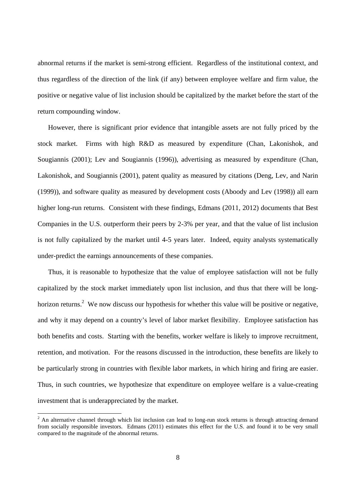abnormal returns if the market is semi-strong efficient. Regardless of the institutional context, and thus regardless of the direction of the link (if any) between employee welfare and firm value, the positive or negative value of list inclusion should be capitalized by the market before the start of the return compounding window.

However, there is significant prior evidence that intangible assets are not fully priced by the stock market. Firms with high R&D as measured by expenditure (Chan, Lakonishok, and Sougiannis (2001); Lev and Sougiannis (1996)), advertising as measured by expenditure (Chan, Lakonishok, and Sougiannis (2001), patent quality as measured by citations (Deng, Lev, and Narin (1999)), and software quality as measured by development costs (Aboody and Lev (1998)) all earn higher long-run returns. Consistent with these findings, Edmans (2011, 2012) documents that Best Companies in the U.S. outperform their peers by 2-3% per year, and that the value of list inclusion is not fully capitalized by the market until 4-5 years later. Indeed, equity analysts systematically under-predict the earnings announcements of these companies.

Thus, it is reasonable to hypothesize that the value of employee satisfaction will not be fully capitalized by the stock market immediately upon list inclusion, and thus that there will be longhorizon returns.<sup>2</sup> We now discuss our hypothesis for whether this value will be positive or negative, and why it may depend on a country's level of labor market flexibility. Employee satisfaction has both benefits and costs. Starting with the benefits, worker welfare is likely to improve recruitment, retention, and motivation. For the reasons discussed in the introduction, these benefits are likely to be particularly strong in countries with flexible labor markets, in which hiring and firing are easier. Thus, in such countries, we hypothesize that expenditure on employee welfare is a value-creating investment that is underappreciated by the market.

<sup>&</sup>lt;sup>2</sup> An alternative channel through which list inclusion can lead to long-run stock returns is through attracting demand from socially responsible investors. Edmans (2011) estimates this effect for the U.S. and found it to be very small compared to the magnitude of the abnormal returns.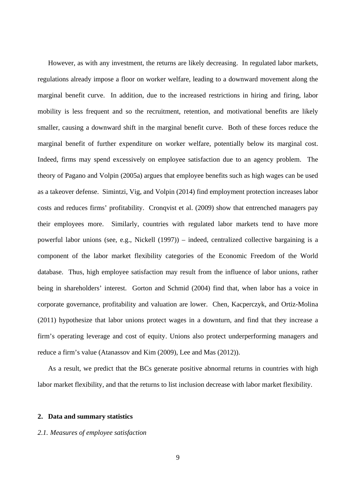However, as with any investment, the returns are likely decreasing. In regulated labor markets, regulations already impose a floor on worker welfare, leading to a downward movement along the marginal benefit curve. In addition, due to the increased restrictions in hiring and firing, labor mobility is less frequent and so the recruitment, retention, and motivational benefits are likely smaller, causing a downward shift in the marginal benefit curve. Both of these forces reduce the marginal benefit of further expenditure on worker welfare, potentially below its marginal cost. Indeed, firms may spend excessively on employee satisfaction due to an agency problem. The theory of Pagano and Volpin (2005a) argues that employee benefits such as high wages can be used as a takeover defense. Simintzi, Vig, and Volpin (2014) find employment protection increases labor costs and reduces firms' profitability. Cronqvist et al. (2009) show that entrenched managers pay their employees more. Similarly, countries with regulated labor markets tend to have more powerful labor unions (see, e.g., Nickell (1997)) – indeed, centralized collective bargaining is a component of the labor market flexibility categories of the Economic Freedom of the World database. Thus, high employee satisfaction may result from the influence of labor unions, rather being in shareholders' interest. Gorton and Schmid (2004) find that, when labor has a voice in corporate governance, profitability and valuation are lower. Chen, Kacperczyk, and Ortiz-Molina (2011) hypothesize that labor unions protect wages in a downturn, and find that they increase a firm's operating leverage and cost of equity. Unions also protect underperforming managers and reduce a firm's value (Atanassov and Kim (2009), Lee and Mas (2012)).

As a result, we predict that the BCs generate positive abnormal returns in countries with high labor market flexibility, and that the returns to list inclusion decrease with labor market flexibility.

#### **2. Data and summary statistics**

## *2.1. Measures of employee satisfaction*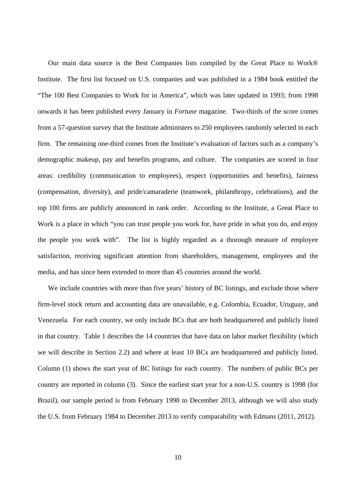Our main data source is the Best Companies lists compiled by the Great Place to Work® Institute. The first list focused on U.S. companies and was published in a 1984 book entitled the "The 100 Best Companies to Work for in America", which was later updated in 1993; from 1998 onwards it has been published every January in *Fortune* magazine. Two-thirds of the score comes from a 57-question survey that the Institute administers to 250 employees randomly selected in each firm. The remaining one-third comes from the Institute's evaluation of factors such as a company's demographic makeup, pay and benefits programs, and culture. The companies are scored in four areas: credibility (communication to employees), respect (opportunities and benefits), fairness (compensation, diversity), and pride/camaraderie (teamwork, philanthropy, celebrations), and the top 100 firms are publicly announced in rank order. According to the Institute, a Great Place to Work is a place in which "you can trust people you work for, have pride in what you do, and enjoy the people you work with". The list is highly regarded as a thorough measure of employee satisfaction, receiving significant attention from shareholders, management, employees and the media, and has since been extended to more than 45 countries around the world.

We include countries with more than five years' history of BC listings, and exclude those where firm-level stock return and accounting data are unavailable, e.g. Colombia, Ecuador, Uruguay, and Venezuela. For each country, we only include BCs that are both headquartered and publicly listed in that country. Table 1 describes the 14 countries that have data on labor market flexibility (which we will describe in Section 2.2) and where at least 10 BCs are headquartered and publicly listed. Column (1) shows the start year of BC listings for each country. The numbers of public BCs per country are reported in column (3). Since the earliest start year for a non-U.S. country is 1998 (for Brazil), our sample period is from February 1998 to December 2013, although we will also study the U.S. from February 1984 to December 2013 to verify comparability with Edmans (2011, 2012).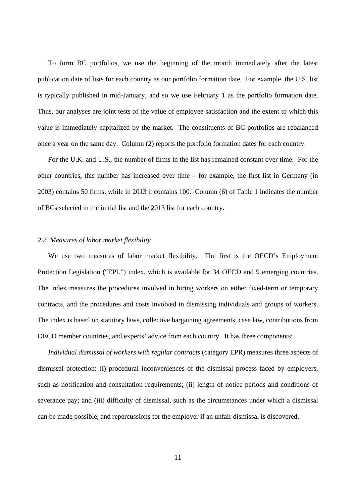To form BC portfolios, we use the beginning of the month immediately after the latest publication date of lists for each country as our portfolio formation date. For example, the U.S. list is typically published in mid-January, and so we use February 1 as the portfolio formation date. Thus, our analyses are joint tests of the value of employee satisfaction and the extent to which this value is immediately capitalized by the market. The constituents of BC portfolios are rebalanced once a year on the same day. Column (2) reports the portfolio formation dates for each country.

For the U.K. and U.S., the number of firms in the list has remained constant over time. For the other countries, this number has increased over time – for example, the first list in Germany (in 2003) contains 50 firms, while in 2013 it contains 100. Column (6) of Table 1 indicates the number of BCs selected in the initial list and the 2013 list for each country.

### *2.2. Measures of labor market flexibility*

We use two measures of labor market flexibility. The first is the OECD's Employment Protection Legislation ("EPL") index, which is available for 34 OECD and 9 emerging countries. The index measures the procedures involved in hiring workers on either fixed-term or temporary contracts, and the procedures and costs involved in dismissing individuals and groups of workers. The index is based on statutory laws, collective bargaining agreements, case law, contributions from OECD member countries, and experts' advice from each country. It has three components:

*Individual dismissal of workers with regular contracts* (category EPR) measures three aspects of dismissal protection: (i) procedural inconveniences of the dismissal process faced by employers, such as notification and consultation requirements; (ii) length of notice periods and conditions of severance pay; and (iii) difficulty of dismissal, such as the circumstances under which a dismissal can be made possible, and repercussions for the employer if an unfair dismissal is discovered.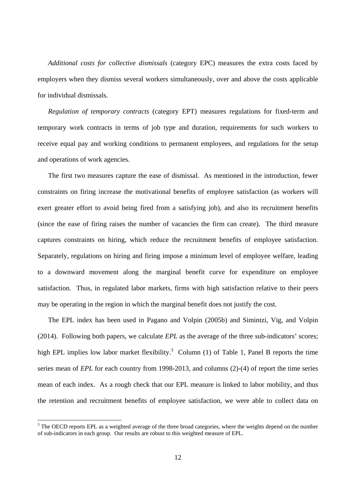*Additional costs for collective dismissals* (category EPC) measures the extra costs faced by employers when they dismiss several workers simultaneously, over and above the costs applicable for individual dismissals.

*Regulation of temporary contracts* (category EPT) measures regulations for fixed-term and temporary work contracts in terms of job type and duration, requirements for such workers to receive equal pay and working conditions to permanent employees, and regulations for the setup and operations of work agencies.

The first two measures capture the ease of dismissal. As mentioned in the introduction, fewer constraints on firing increase the motivational benefits of employee satisfaction (as workers will exert greater effort to avoid being fired from a satisfying job), and also its recruitment benefits (since the ease of firing raises the number of vacancies the firm can create). The third measure captures constraints on hiring, which reduce the recruitment benefits of employee satisfaction. Separately, regulations on hiring and firing impose a minimum level of employee welfare, leading to a downward movement along the marginal benefit curve for expenditure on employee satisfaction. Thus, in regulated labor markets, firms with high satisfaction relative to their peers may be operating in the region in which the marginal benefit does not justify the cost.

The EPL index has been used in Pagano and Volpin (2005b) and Simintzi, Vig, and Volpin (2014). Following both papers, we calculate *EPL* as the average of the three sub-indicators' scores; high EPL implies low labor market flexibility.<sup>3</sup> Column (1) of Table 1, Panel B reports the time series mean of *EPL* for each country from 1998-2013, and columns (2)-(4) of report the time series mean of each index. As a rough check that our EPL measure is linked to labor mobility, and thus the retention and recruitment benefits of employee satisfaction, we were able to collect data on

-

 $3$  The OECD reports EPL as a weighted average of the three broad categories, where the weights depend on the number of sub-indicators in each group. Our results are robust to this weighted measure of EPL.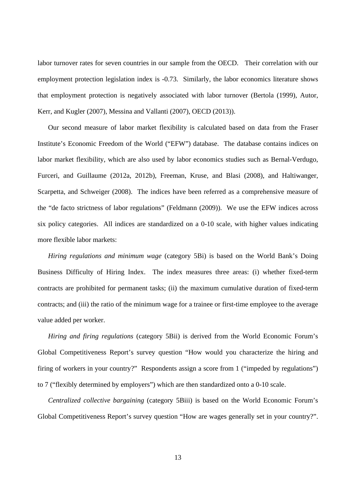labor turnover rates for seven countries in our sample from the OECD. Their correlation with our employment protection legislation index is -0.73. Similarly, the labor economics literature shows that employment protection is negatively associated with labor turnover (Bertola (1999), Autor, Kerr, and Kugler (2007), Messina and Vallanti (2007), OECD (2013)).

Our second measure of labor market flexibility is calculated based on data from the Fraser Institute's Economic Freedom of the World ("EFW") database. The database contains indices on labor market flexibility, which are also used by labor economics studies such as Bernal-Verdugo, Furceri, and Guillaume (2012a, 2012b), Freeman, Kruse, and Blasi (2008), and Haltiwanger, Scarpetta, and Schweiger (2008). The indices have been referred as a comprehensive measure of the "de facto strictness of labor regulations" (Feldmann (2009)). We use the EFW indices across six policy categories. All indices are standardized on a 0-10 scale, with higher values indicating more flexible labor markets:

*Hiring regulations and minimum wage* (category 5Bi) is based on the World Bank's Doing Business Difficulty of Hiring Index. The index measures three areas: (i) whether fixed-term contracts are prohibited for permanent tasks; (ii) the maximum cumulative duration of fixed-term contracts; and (iii) the ratio of the minimum wage for a trainee or first-time employee to the average value added per worker.

*Hiring and firing regulations* (category 5Bii) is derived from the World Economic Forum's Global Competitiveness Report's survey question "How would you characterize the hiring and firing of workers in your country?" Respondents assign a score from 1 ("impeded by regulations") to 7 ("flexibly determined by employers") which are then standardized onto a 0-10 scale.

*Centralized collective bargaining* (category 5Biii) is based on the World Economic Forum's Global Competitiveness Report's survey question "How are wages generally set in your country?".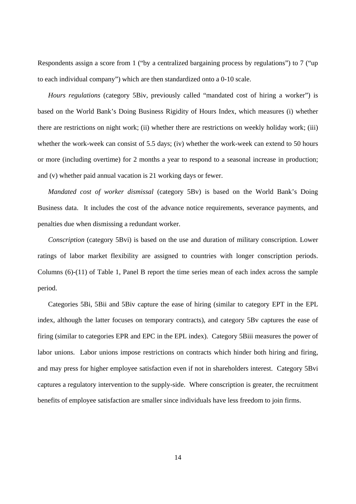Respondents assign a score from 1 ("by a centralized bargaining process by regulations") to 7 ("up to each individual company") which are then standardized onto a 0-10 scale.

*Hours regulations* (category 5Biv, previously called "mandated cost of hiring a worker") is based on the World Bank's Doing Business Rigidity of Hours Index, which measures (i) whether there are restrictions on night work; (ii) whether there are restrictions on weekly holiday work; (iii) whether the work-week can consist of 5.5 days; (iv) whether the work-week can extend to 50 hours or more (including overtime) for 2 months a year to respond to a seasonal increase in production; and (v) whether paid annual vacation is 21 working days or fewer.

*Mandated cost of worker dismissal* (category 5Bv) is based on the World Bank's Doing Business data. It includes the cost of the advance notice requirements, severance payments, and penalties due when dismissing a redundant worker.

*Conscription* (category 5Bvi) is based on the use and duration of military conscription. Lower ratings of labor market flexibility are assigned to countries with longer conscription periods. Columns (6)-(11) of Table 1, Panel B report the time series mean of each index across the sample period.

Categories 5Bi, 5Bii and 5Biv capture the ease of hiring (similar to category EPT in the EPL index, although the latter focuses on temporary contracts), and category 5Bv captures the ease of firing (similar to categories EPR and EPC in the EPL index). Category 5Biii measures the power of labor unions. Labor unions impose restrictions on contracts which hinder both hiring and firing, and may press for higher employee satisfaction even if not in shareholders interest. Category 5Bvi captures a regulatory intervention to the supply-side. Where conscription is greater, the recruitment benefits of employee satisfaction are smaller since individuals have less freedom to join firms.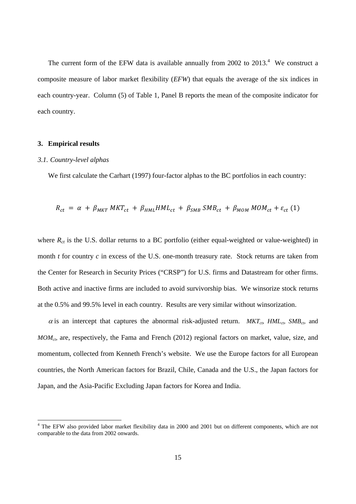The current form of the EFW data is available annually from 2002 to  $2013<sup>4</sup>$ . We construct a composite measure of labor market flexibility (*EFW*) that equals the average of the six indices in each country-year. Column (5) of Table 1, Panel B reports the mean of the composite indicator for each country.

## **3. Empirical results**

-

#### *3.1. Country-level alphas*

We first calculate the Carhart (1997) four-factor alphas to the BC portfolios in each country:

$$
R_{ct} = \alpha + \beta_{MKT} MKT_{ct} + \beta_{HML} HML_{ct} + \beta_{SMB} SMB_{ct} + \beta_{MOM} MOM_{ct} + \varepsilon_{ct} (1)
$$

where  $R<sub>ct</sub>$  is the U.S. dollar returns to a BC portfolio (either equal-weighted or value-weighted) in month *t* for country *c* in excess of the U.S. one-month treasury rate. Stock returns are taken from the Center for Research in Security Prices ("CRSP") for U.S. firms and Datastream for other firms. Both active and inactive firms are included to avoid survivorship bias. We winsorize stock returns at the 0.5% and 99.5% level in each country. Results are very similar without winsorization.

 $\alpha$  is an intercept that captures the abnormal risk-adjusted return.  $MKT_{cb} HML_{cb} SMB_{cb}$  and *MOMct*, are, respectively, the Fama and French (2012) regional factors on market, value, size, and momentum, collected from Kenneth French's website. We use the Europe factors for all European countries, the North American factors for Brazil, Chile, Canada and the U.S., the Japan factors for Japan, and the Asia-Pacific Excluding Japan factors for Korea and India.

<sup>&</sup>lt;sup>4</sup> The EFW also provided labor market flexibility data in 2000 and 2001 but on different components, which are not comparable to the data from 2002 onwards.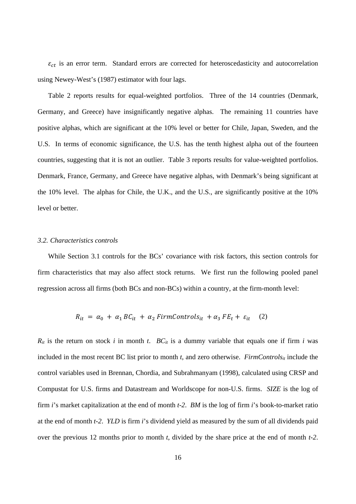$\varepsilon_{ct}$  is an error term. Standard errors are corrected for heteroscedasticity and autocorrelation using Newey-West's (1987) estimator with four lags.

Table 2 reports results for equal-weighted portfolios. Three of the 14 countries (Denmark, Germany, and Greece) have insignificantly negative alphas. The remaining 11 countries have positive alphas, which are significant at the 10% level or better for Chile, Japan, Sweden, and the U.S. In terms of economic significance, the U.S. has the tenth highest alpha out of the fourteen countries, suggesting that it is not an outlier. Table 3 reports results for value-weighted portfolios. Denmark, France, Germany, and Greece have negative alphas, with Denmark's being significant at the 10% level. The alphas for Chile, the U.K., and the U.S., are significantly positive at the 10% level or better.

#### *3.2. Characteristics controls*

While Section 3.1 controls for the BCs' covariance with risk factors, this section controls for firm characteristics that may also affect stock returns. We first run the following pooled panel regression across all firms (both BCs and non-BCs) within a country, at the firm-month level:

$$
R_{it} = \alpha_0 + \alpha_1 BC_{it} + \alpha_2 FirmControls_{it} + \alpha_3 FE_t + \varepsilon_{it} \quad (2)
$$

 $R_{it}$  is the return on stock *i* in month *t*.  $BC_{it}$  is a dummy variable that equals one if firm *i* was included in the most recent BC list prior to month  $t$ , and zero otherwise. *FirmControls<sub>it</sub>* include the control variables used in Brennan, Chordia, and Subrahmanyam (1998), calculated using CRSP and Compustat for U.S. firms and Datastream and Worldscope for non-U.S. firms. *SIZE* is the log of firm *i*'s market capitalization at the end of month *t-2*. *BM* is the log of firm *i*'s book-to-market ratio at the end of month *t-2*. *YLD* is firm *i*'s dividend yield as measured by the sum of all dividends paid over the previous 12 months prior to month *t*, divided by the share price at the end of month *t-2*.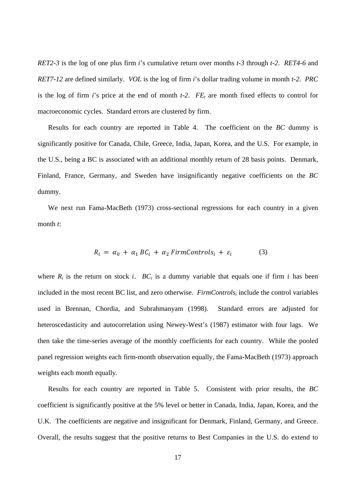*RET2-3* is the log of one plus firm *i*'s cumulative return over months *t-3* through *t-2*. *RET4-6* and *RET7-12* are defined similarly. *VOL* is the log of firm *i*'s dollar trading volume in month *t-2*. *PRC*  is the log of firm *i*'s price at the end of month  $t-2$ .  $FE<sub>t</sub>$  are month fixed effects to control for macroeconomic cycles. Standard errors are clustered by firm.

Results for each country are reported in Table 4. The coefficient on the *BC* dummy is significantly positive for Canada, Chile, Greece, India, Japan, Korea, and the U.S. For example, in the U.S., being a BC is associated with an additional monthly return of 28 basis points. Denmark, Finland, France, Germany, and Sweden have insignificantly negative coefficients on the *BC* dummy.

We next run Fama-MacBeth (1973) cross-sectional regressions for each country in a given month *t*:

$$
R_i = \alpha_0 + \alpha_1 BC_i + \alpha_2 FirmControls_i + \varepsilon_i \tag{3}
$$

where  $R_i$  is the return on stock *i*.  $BC_i$  is a dummy variable that equals one if firm *i* has been included in the most recent BC list, and zero otherwise. *FirmControlsi* include the control variables used in Brennan, Chordia, and Subrahmanyam (1998). Standard errors are adjusted for heteroscedasticity and autocorrelation using Newey-West's (1987) estimator with four lags. We then take the time-series average of the monthly coefficients for each country. While the pooled panel regression weights each firm-month observation equally, the Fama-MacBeth (1973) approach weights each month equally.

Results for each country are reported in Table 5. Consistent with prior results, the *BC*  coefficient is significantly positive at the 5% level or better in Canada, India, Japan, Korea, and the U.K. The coefficients are negative and insignificant for Denmark, Finland, Germany, and Greece. Overall, the results suggest that the positive returns to Best Companies in the U.S. do extend to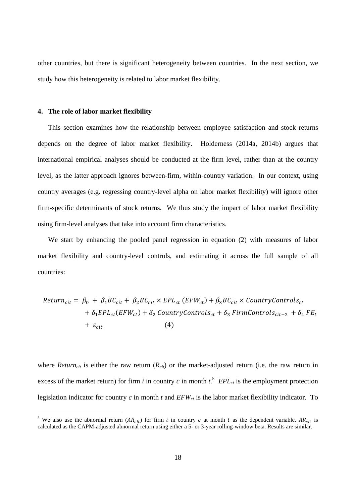other countries, but there is significant heterogeneity between countries. In the next section, we study how this heterogeneity is related to labor market flexibility.

### **4. The role of labor market flexibility**

-

This section examines how the relationship between employee satisfaction and stock returns depends on the degree of labor market flexibility. Holderness (2014a, 2014b) argues that international empirical analyses should be conducted at the firm level, rather than at the country level, as the latter approach ignores between-firm, within-country variation. In our context, using country averages (e.g. regressing country-level alpha on labor market flexibility) will ignore other firm-specific determinants of stock returns. We thus study the impact of labor market flexibility using firm-level analyses that take into account firm characteristics.

We start by enhancing the pooled panel regression in equation (2) with measures of labor market flexibility and country-level controls, and estimating it across the full sample of all countries:

$$
Return_{cit} = \beta_0 + \beta_1 BC_{cit} + \beta_2 BC_{cit} \times EPL_{ct} (EFW_{ct}) + \beta_3 BC_{cit} \times CountryControl_{ct}
$$
  
+  $\delta_1 EPL_{ct} (EFW_{ct}) + \delta_2 \text{CountryControls}_{ct} + \delta_3 \text{FirmControls}_{cit-2} + \delta_4 FE_{t}$   
+  $\varepsilon_{cit}$  (4)

where *Return<sub>cit</sub>* is either the raw return  $(R_{cit})$  or the market-adjusted return (i.e. the raw return in excess of the market return) for firm *i* in country *c* in month  $t$ <sup>5</sup>. EPL<sub>ct</sub> is the employment protection legislation indicator for country  $c$  in month  $t$  and  $EFW_{ct}$  is the labor market flexibility indicator. To

<sup>&</sup>lt;sup>5</sup> We also use the abnormal return ( $AR_{cit}$ ) for firm *i* in country *c* at month *t* as the dependent variable.  $AR_{cit}$  is calculated as the CAPM-adjusted abnormal return using either a 5- or 3-year rolling-window beta. Results are similar.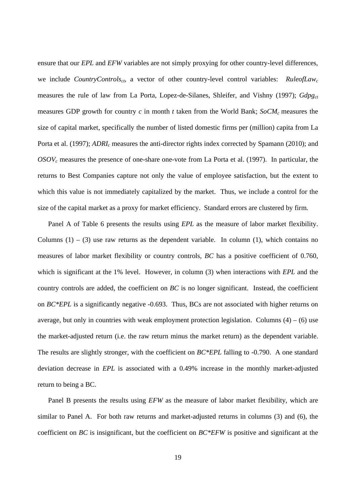ensure that our *EPL* and *EFW* variables are not simply proxying for other country-level differences, we include *CountryControlsct*, a vector of other country-level control variables: *RuleofLawc* measures the rule of law from La Porta, Lopez-de-Silanes, Shleifer, and Vishny (1997); *Gdpg<sub>ct</sub>* measures GDP growth for country  $c$  in month  $t$  taken from the World Bank;  $SoCM<sub>c</sub>$  measures the size of capital market, specifically the number of listed domestic firms per (million) capita from La Porta et al. (1997); *ADRI<sub>c</sub>* measures the anti-director rights index corrected by Spamann (2010); and  $OSOV<sub>c</sub>$  measures the presence of one-share one-vote from La Porta et al. (1997). In particular, the returns to Best Companies capture not only the value of employee satisfaction, but the extent to which this value is not immediately capitalized by the market. Thus, we include a control for the size of the capital market as a proxy for market efficiency. Standard errors are clustered by firm.

Panel A of Table 6 presents the results using *EPL* as the measure of labor market flexibility. Columns  $(1) - (3)$  use raw returns as the dependent variable. In column  $(1)$ , which contains no measures of labor market flexibility or country controls, *BC* has a positive coefficient of 0.760, which is significant at the 1% level. However, in column (3) when interactions with *EPL* and the country controls are added, the coefficient on *BC* is no longer significant. Instead, the coefficient on *BC\*EPL* is a significantly negative -0.693. Thus, BCs are not associated with higher returns on average, but only in countries with weak employment protection legislation. Columns  $(4) - (6)$  use the market-adjusted return (i.e. the raw return minus the market return) as the dependent variable. The results are slightly stronger, with the coefficient on *BC\*EPL* falling to -0.790. A one standard deviation decrease in *EPL* is associated with a 0.49% increase in the monthly market-adjusted return to being a BC.

Panel B presents the results using *EFW* as the measure of labor market flexibility, which are similar to Panel A. For both raw returns and market-adjusted returns in columns (3) and (6), the coefficient on *BC* is insignificant, but the coefficient on *BC\*EFW* is positive and significant at the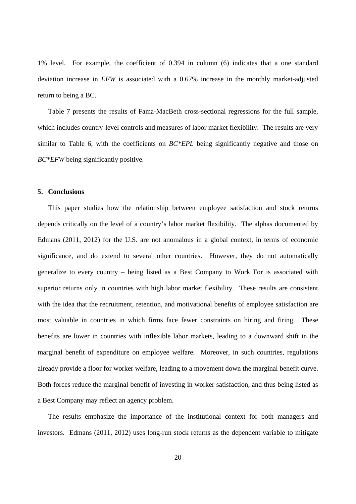1% level. For example, the coefficient of 0.394 in column (6) indicates that a one standard deviation increase in *EFW* is associated with a 0.67% increase in the monthly market-adjusted return to being a BC.

Table 7 presents the results of Fama-MacBeth cross-sectional regressions for the full sample, which includes country-level controls and measures of labor market flexibility. The results are very similar to Table 6, with the coefficients on *BC\*EPL* being significantly negative and those on *BC\*EFW* being significantly positive.

## **5. Conclusions**

This paper studies how the relationship between employee satisfaction and stock returns depends critically on the level of a country's labor market flexibility. The alphas documented by Edmans (2011, 2012) for the U.S. are not anomalous in a global context, in terms of economic significance, and do extend to several other countries. However, they do not automatically generalize to every country – being listed as a Best Company to Work For is associated with superior returns only in countries with high labor market flexibility. These results are consistent with the idea that the recruitment, retention, and motivational benefits of employee satisfaction are most valuable in countries in which firms face fewer constraints on hiring and firing. These benefits are lower in countries with inflexible labor markets, leading to a downward shift in the marginal benefit of expenditure on employee welfare. Moreover, in such countries, regulations already provide a floor for worker welfare, leading to a movement down the marginal benefit curve. Both forces reduce the marginal benefit of investing in worker satisfaction, and thus being listed as a Best Company may reflect an agency problem.

The results emphasize the importance of the institutional context for both managers and investors. Edmans (2011, 2012) uses long-run stock returns as the dependent variable to mitigate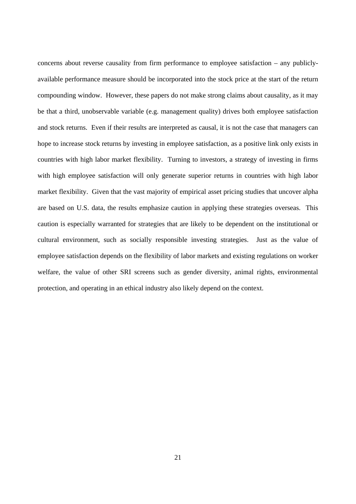concerns about reverse causality from firm performance to employee satisfaction – any publiclyavailable performance measure should be incorporated into the stock price at the start of the return compounding window. However, these papers do not make strong claims about causality, as it may be that a third, unobservable variable (e.g. management quality) drives both employee satisfaction and stock returns. Even if their results are interpreted as causal, it is not the case that managers can hope to increase stock returns by investing in employee satisfaction, as a positive link only exists in countries with high labor market flexibility. Turning to investors, a strategy of investing in firms with high employee satisfaction will only generate superior returns in countries with high labor market flexibility. Given that the vast majority of empirical asset pricing studies that uncover alpha are based on U.S. data, the results emphasize caution in applying these strategies overseas. This caution is especially warranted for strategies that are likely to be dependent on the institutional or cultural environment, such as socially responsible investing strategies. Just as the value of employee satisfaction depends on the flexibility of labor markets and existing regulations on worker welfare, the value of other SRI screens such as gender diversity, animal rights, environmental protection, and operating in an ethical industry also likely depend on the context.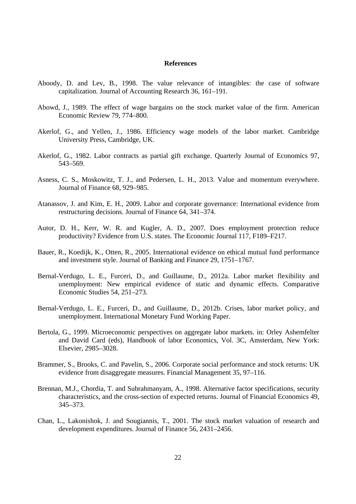#### **References**

- Aboody, D. and Lev, B., 1998. The value relevance of intangibles: the case of software capitalization. Journal of Accounting Research 36, 161–191.
- Abowd, J., 1989. The effect of wage bargains on the stock market value of the firm. American Economic Review 79, 774–800.
- Akerlof, G., and Yellen, J., 1986. Efficiency wage models of the labor market. Cambridge University Press, Cambridge, UK.
- Akerlof, G., 1982. Labor contracts as partial gift exchange. Quarterly Journal of Economics 97, 543–569.
- Asness, C. S., Moskowitz, T. J., and Pedersen, L. H., 2013. Value and momentum everywhere. Journal of Finance 68, 929–985.
- Atanassov, J. and Kim, E. H., 2009. Labor and corporate governance: International evidence from restructuring decisions. Journal of Finance 64, 341–374.
- Autor, D. H., Kerr, W. R. and Kugler, A. D., 2007. Does employment protection reduce productivity? Evidence from U.S. states. The Economic Journal 117, F189–F217.
- Bauer, R., Koedijk, K., Otten, R., 2005. International evidence on ethical mutual fund performance and investment style. Journal of Banking and Finance 29, 1751–1767.
- Bernal-Verdugo, L. E., Furceri, D., and Guillaume, D., 2012a. Labor market flexibility and unemployment: New empirical evidence of static and dynamic effects. Comparative Economic Studies 54, 251–273.
- Bernal-Verdugo, L. E., Furceri, D., and Guillaume, D., 2012b. Crises, labor market policy, and unemployment. International Monetary Fund Working Paper.
- Bertola, G., 1999. Microeconomic perspectives on aggregate labor markets. in: Orley Ashemfelter and David Card (eds), Handbook of labor Economics, Vol. 3C, Amsterdam, New York: Elsevier, 2985–3028.
- Brammer, S., Brooks, C. and Pavelin, S., 2006. Corporate social performance and stock returns: UK evidence from disaggregate measures. Financial Management 35, 97–116.
- Brennan, M.J., Chordia, T. and Subrahmanyam, A., 1998. Alternative factor specifications, security characteristics, and the cross-section of expected returns. Journal of Financial Economics 49, 345–373.
- Chan, L., Lakonishok, J. and Sougiannis, T., 2001. The stock market valuation of research and development expenditures. Journal of Finance 56, 2431–2456.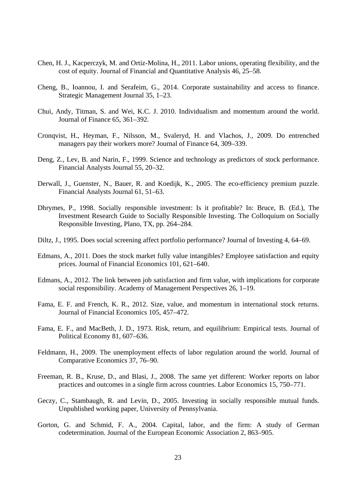- Chen, H. J., Kacperczyk, M. and Ortiz-Molina, H., 2011. Labor unions, operating flexibility, and the cost of equity. Journal of Financial and Quantitative Analysis 46, 25–58.
- Cheng, B., Ioannou, I. and Serafeim, G., 2014. Corporate sustainability and access to finance. Strategic Management Journal 35, 1–23.
- Chui, Andy, Titman, S. and Wei, K.C. J. 2010. Individualism and momentum around the world. Journal of Finance 65, 361–392.
- Cronqvist, H., Heyman, F., Nilsson, M., Svaleryd, H. and Vlachos, J., 2009. Do entrenched managers pay their workers more? Journal of Finance 64, 309–339.
- Deng, Z., Lev, B. and Narin, F., 1999. Science and technology as predictors of stock performance. Financial Analysts Journal 55, 20–32.
- Derwall, J., Guenster, N., Bauer, R. and Koedijk, K., 2005. The eco-efficiency premium puzzle. Financial Analysts Journal 61, 51–63.
- Dhrymes, P., 1998. Socially responsible investment: Is it profitable? In: Bruce, B. (Ed.), The Investment Research Guide to Socially Responsible Investing. The Colloquium on Socially Responsible Investing, Plano, TX, pp. 264–284.
- Diltz, J., 1995. Does social screening affect portfolio performance? Journal of Investing 4, 64–69.
- Edmans, A., 2011. Does the stock market fully value intangibles? Employee satisfaction and equity prices. Journal of Financial Economics 101, 621–640.
- Edmans, A., 2012. The link between job satisfaction and firm value, with implications for corporate social responsibility. Academy of Management Perspectives 26, 1–19.
- Fama, E. F. and French, K. R., 2012. Size, value, and momentum in international stock returns. Journal of Financial Economics 105, 457–472.
- Fama, E. F., and MacBeth, J. D., 1973. Risk, return, and equilibrium: Empirical tests. Journal of Political Economy 81, 607–636.
- Feldmann, H., 2009. The unemployment effects of labor regulation around the world. Journal of Comparative Economics 37, 76–90.
- Freeman, R. B., Kruse, D., and Blasi, J., 2008. The same yet different: Worker reports on labor practices and outcomes in a single firm across countries. Labor Economics 15, 750–771.
- Geczy, C., Stambaugh, R. and Levin, D., 2005. Investing in socially responsible mutual funds. Unpublished working paper, University of Pennsylvania.
- Gorton, G. and Schmid, F. A., 2004. Capital, labor, and the firm: A study of German codetermination. Journal of the European Economic Association 2, 863–905.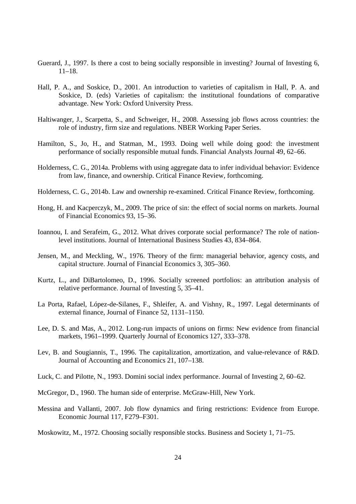- Guerard, J., 1997. Is there a cost to being socially responsible in investing? Journal of Investing 6, 11–18.
- Hall, P. A., and Soskice, D., 2001. An introduction to varieties of capitalism in Hall, P. A. and Soskice, D. (eds) Varieties of capitalism: the institutional foundations of comparative advantage. New York: Oxford University Press.
- Haltiwanger, J., Scarpetta, S., and Schweiger, H., 2008. Assessing job flows across countries: the role of industry, firm size and regulations. NBER Working Paper Series.
- Hamilton, S., Jo, H., and Statman, M., 1993. Doing well while doing good: the investment performance of socially responsible mutual funds. Financial Analysts Journal 49, 62–66.
- Holderness, C. G., 2014a. Problems with using aggregate data to infer individual behavior: Evidence from law, finance, and ownership. Critical Finance Review, forthcoming.
- Holderness, C. G., 2014b. Law and ownership re-examined. Critical Finance Review, forthcoming.
- Hong, H. and Kacperczyk, M., 2009. The price of sin: the effect of social norms on markets. Journal of Financial Economics 93, 15–36.
- Ioannou, I. and Serafeim, G., 2012. What drives corporate social performance? The role of nationlevel institutions. Journal of International Business Studies 43, 834–864.
- Jensen, M., and Meckling, W., 1976. Theory of the firm: managerial behavior, agency costs, and capital structure. Journal of Financial Economics 3, 305–360.
- Kurtz, L., and DiBartolomeo, D., 1996. Socially screened portfolios: an attribution analysis of relative performance. Journal of Investing 5, 35–41.
- La Porta, Rafael, López-de-Silanes, F., Shleifer, A. and Vishny, R., 1997. Legal determinants of external finance, Journal of Finance 52, 1131–1150.
- Lee, D. S. and Mas, A., 2012. Long-run impacts of unions on firms: New evidence from financial markets, 1961–1999. Quarterly Journal of Economics 127, 333–378.
- Lev, B. and Sougiannis, T., 1996. The capitalization, amortization, and value-relevance of R&D. Journal of Accounting and Economics 21, 107–138.
- Luck, C. and Pilotte, N., 1993. Domini social index performance. Journal of Investing 2, 60–62.
- McGregor, D., 1960. The human side of enterprise. McGraw-Hill, New York.
- Messina and Vallanti, 2007. Job flow dynamics and firing restrictions: Evidence from Europe. Economic Journal 117, F279–F301.
- Moskowitz, M., 1972. Choosing socially responsible stocks. Business and Society 1, 71–75.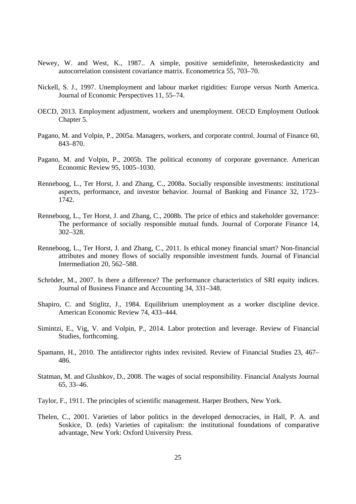- Newey, W. and West, K., 1987.. A simple, positive semidefinite, heteroskedasticity and autocorrelation consistent covariance matrix. Econometrica 55, 703–70.
- Nickell, S. J., 1997. Unemployment and labour market rigidities: Europe versus North America. Journal of Economic Perspectives 11, 55–74.
- OECD, 2013. Employment adjustment, workers and unemployment. OECD Employment Outlook Chapter 5.
- Pagano, M. and Volpin, P., 2005a. Managers, workers, and corporate control. Journal of Finance 60, 843–870.
- Pagano, M. and Volpin, P., 2005b. The political economy of corporate governance. American Economic Review 95, 1005–1030.
- Renneboog, L., Ter Horst, J. and Zhang, C., 2008a. Socially responsible investments: institutional aspects, performance, and investor behavior. Journal of Banking and Finance 32, 1723– 1742.
- Renneboog, L., Ter Horst, J. and Zhang, C., 2008b. The price of ethics and stakeholder governance: The performance of socially responsible mutual funds. Journal of Corporate Finance 14, 302–328.
- Renneboog, L., Ter Horst, J. and Zhang, C., 2011. Is ethical money financial smart? Non-financial attributes and money flows of socially responsible investment funds. Journal of Financial Intermediation 20, 562–588.
- Schröder, M., 2007. Is there a difference? The performance characteristics of SRI equity indices. Journal of Business Finance and Accounting 34, 331–348.
- Shapiro, C. and Stiglitz, J., 1984. Equilibrium unemployment as a worker discipline device. American Economic Review 74, 433–444.
- Simintzi, E., Vig, V. and Volpin, P., 2014. Labor protection and leverage. Review of Financial Studies, forthcoming.
- Spamann, H., 2010. The antidirector rights index revisited. Review of Financial Studies 23, 467– 486.
- Statman, M. and Glushkov, D., 2008. The wages of social responsibility. Financial Analysts Journal 65, 33–46.
- Taylor, F., 1911. The principles of scientific management. Harper Brothers, New York.
- Thelen, C., 2001. Varieties of labor politics in the developed democracies, in Hall, P. A. and Soskice, D. (eds) Varieties of capitalism: the institutional foundations of comparative advantage, New York: Oxford University Press.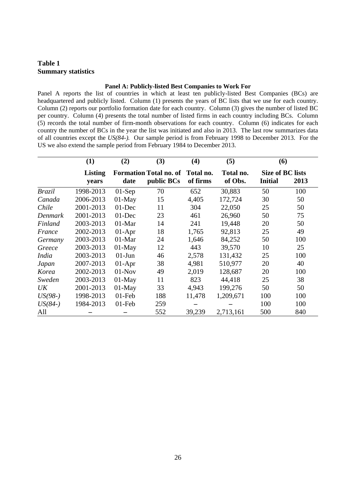# **Table 1 Summary statistics**

#### **Panel A: Publicly-listed Best Companies to Work For**

Panel A reports the list of countries in which at least ten publicly-listed Best Companies (BCs) are headquartered and publicly listed. Column (1) presents the years of BC lists that we use for each country. Column (2) reports our portfolio formation date for each country. Column (3) gives the number of listed BC per country. Column (4) presents the total number of listed firms in each country including BCs. Column (5) records the total number of firm-month observations for each country. Column (6) indicates for each country the number of BCs in the year the list was initiated and also in 2013. The last row summarizes data of all countries except the *US(84-).* Our sample period is from February 1998 to December 2013. For the US we also extend the sample period from February 1984 to December 2013.

|               | (1)                     | (2)       | (3)                                         | (4)                   | (5)                  | (6)                                       |      |
|---------------|-------------------------|-----------|---------------------------------------------|-----------------------|----------------------|-------------------------------------------|------|
|               | <b>Listing</b><br>years | date      | <b>Formation Total no. of</b><br>public BCs | Total no.<br>of firms | Total no.<br>of Obs. | <b>Size of BC lists</b><br><b>Initial</b> | 2013 |
| <b>Brazil</b> | 1998-2013               | $01-Sep$  | 70                                          | 652                   | 30,883               | 50                                        | 100  |
| Canada        | 2006-2013               | $01$ -May | 15                                          | 4,405                 | 172,724              | 30                                        | 50   |
| Chile         | 2001-2013               | $01$ -Dec | 11                                          | 304                   | 22,050               | 25                                        | 50   |
| Denmark       | 2001-2013               | $01$ -Dec | 23                                          | 461                   | 26,960               | 50                                        | 75   |
| Finland       | 2003-2013               | $01-Mar$  | 14                                          | 241                   | 19,448               | 20                                        | 50   |
| France        | 2002-2013               | $01-Apr$  | 18                                          | 1,765                 | 92,813               | 25                                        | 49   |
| Germany       | 2003-2013               | $01-Mar$  | 24                                          | 1,646                 | 84,252               | 50                                        | 100  |
| Greece        | 2003-2013               | $01-May$  | 12                                          | 443                   | 39,570               | 10                                        | 25   |
| <i>India</i>  | 2003-2013               | $01$ -Jun | 46                                          | 2,578                 | 131,432              | 25                                        | 100  |
| Japan         | 2007-2013               | $01-Apr$  | 38                                          | 4,981                 | 510,977              | 20                                        | 40   |
| Korea         | 2002-2013               | $01-Nov$  | 49                                          | 2,019                 | 128,687              | 20                                        | 100  |
| Sweden        | 2003-2013               | $01-May$  | 11                                          | 823                   | 44,418               | 25                                        | 38   |
| UK            | 2001-2013               | $01-May$  | 33                                          | 4,943                 | 199,276              | 50                                        | 50   |
| $US(98-)$     | 1998-2013               | $01$ -Feb | 188                                         | 11,478                | 1,209,671            | 100                                       | 100  |
| $US(84-)$     | 1984-2013               | $01$ -Feb | 259                                         |                       |                      | 100                                       | 100  |
| All           |                         |           | 552                                         | 39,239                | 2,713,161            | 500                                       | 840  |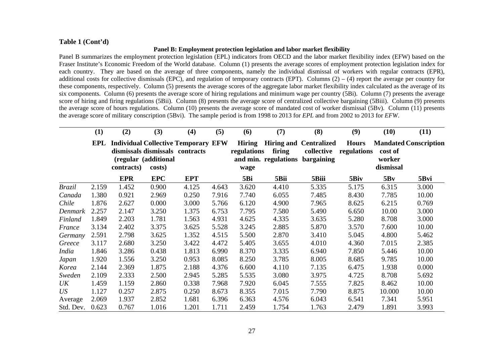# **Table 1 (Cont'd)**

## **Panel B: Employment protection legislation and labor market flexibility**

Panel B summarizes the employment protection legislation (EPL) indicators from OECD and the labor market flexibility index (EFW) based on the Fraser Institute's Economic Freedom of the World database. Column (1) presents the average scores of employment protection legislation index for each country. They are based on the average of three components, namely the individual dismissal of workers with regular contracts (EPR), additional costs for collective dismissals (EPC), and regulation of temporary contracts (EPT). Columns  $(2) - (4)$  report the average per country for these components, respectively. Column (5) presents the average scores of the aggregate labor market flexibility index calculated as the average of its six components. Column (6) presents the average score of hiring regulations and minimum wage per country (5Bi). Column (7) presents the average score of hiring and firing regulations (5Bii). Column (8) presents the average score of centralized collective bargaining (5Biii). Column (9) presents the average score of hours regulations. Column (10) presents the average score of mandated cost of worker dismissal (5Bv). Column (11) presents the average score of military conscription (5Bvi). The sample period is from 1998 to 2013 for *EPL* and from 2002 to 2013 for *EFW*.

|                 | (1)   | (2)        | (3)                            | (4)                                                                           | (5)   | (6)                                  | (7)    | (8)                                                                            | (9)                         | (10)                           | (11)                         |
|-----------------|-------|------------|--------------------------------|-------------------------------------------------------------------------------|-------|--------------------------------------|--------|--------------------------------------------------------------------------------|-----------------------------|--------------------------------|------------------------------|
|                 | EPL   | contracts) | (regular (additional<br>costs) | <b>Individual Collective Temporary EFW</b><br>dismissals dismissals contracts |       | <b>Hiring</b><br>regulations<br>wage | firing | <b>Hiring and Centralized</b><br>collective<br>and min. regulations bargaining | <b>Hours</b><br>regulations | cost of<br>worker<br>dismissal | <b>Mandated Conscription</b> |
|                 |       | <b>EPR</b> | <b>EPC</b>                     | <b>EPT</b>                                                                    |       | 5Bi                                  | 5Bii   | 5Biii                                                                          | 5Biv                        | 5Bv                            | 5Bvi                         |
| <b>Brazil</b>   | 2.159 | 1.452      | 0.900                          | 4.125                                                                         | 4.643 | 3.620                                | 4.410  | 5.335                                                                          | 5.175                       | 6.315                          | 3.000                        |
| Canada          | 1.380 | 0.921      | 2.969                          | 0.250                                                                         | 7.916 | 7.740                                | 6.055  | 7.485                                                                          | 8.430                       | 7.785                          | 10.00                        |
| Chile           | 1.876 | 2.627      | 0.000                          | 3.000                                                                         | 5.766 | 6.120                                | 4.900  | 7.965                                                                          | 8.625                       | 6.215                          | 0.769                        |
| Denmark         | 2.257 | 2.147      | 3.250                          | 1.375                                                                         | 6.753 | 7.795                                | 7.580  | 5.490                                                                          | 6.650                       | 10.00                          | 3.000                        |
| Finland         | 1.849 | 2.203      | 1.781                          | 1.563                                                                         | 4.931 | 4.625                                | 4.335  | 3.635                                                                          | 5.280                       | 8.708                          | 3.000                        |
| France          | 3.134 | 2.402      | 3.375                          | 3.625                                                                         | 5.528 | 3.245                                | 2.885  | 5.870                                                                          | 3.570                       | 7.600                          | 10.00                        |
| Germany         | 2.591 | 2.798      | 3.625                          | 1.352                                                                         | 4.515 | 5.500                                | 2.870  | 3.410                                                                          | 5.045                       | 4.800                          | 5.462                        |
| Greece          | 3.117 | 2.680      | 3.250                          | 3.422                                                                         | 4.472 | 5.405                                | 3.655  | 4.010                                                                          | 4.360                       | 7.015                          | 2.385                        |
| <b>India</b>    | 1.846 | 3.286      | 0.438                          | 1.813                                                                         | 6.990 | 8.370                                | 3.335  | 6.940                                                                          | 7.850                       | 5.446                          | 10.00                        |
| Japan           | 1.920 | 1.556      | 3.250                          | 0.953                                                                         | 8.085 | 8.250                                | 3.785  | 8.005                                                                          | 8.685                       | 9.785                          | 10.00                        |
| Korea           | 2.144 | 2.369      | 1.875                          | 2.188                                                                         | 4.376 | 6.600                                | 4.110  | 7.135                                                                          | 6.475                       | 1.938                          | 0.000                        |
| Sweden          | 2.109 | 2.333      | 2.500                          | 2.945                                                                         | 5.285 | 5.535                                | 3.080  | 3.975                                                                          | 4.725                       | 8.708                          | 5.692                        |
| UK              | 1.459 | 1.159      | 2.860                          | 0.338                                                                         | 7.968 | 7.920                                | 6.045  | 7.555                                                                          | 7.825                       | 8.462                          | 10.00                        |
| US <sup>-</sup> | 1.127 | 0.257      | 2.875                          | 0.250                                                                         | 8.673 | 8.355                                | 7.015  | 7.790                                                                          | 8.875                       | 10.000                         | 10.00                        |
| Average         | 2.069 | 1.937      | 2.852                          | 1.681                                                                         | 6.396 | 6.363                                | 4.576  | 6.043                                                                          | 6.541                       | 7.341                          | 5.951                        |
| Std. Dev.       | 0.623 | 0.767      | 1.016                          | 1.201                                                                         | 1.711 | 2.459                                | 1.754  | 1.763                                                                          | 2.479                       | 1.891                          | 3.993                        |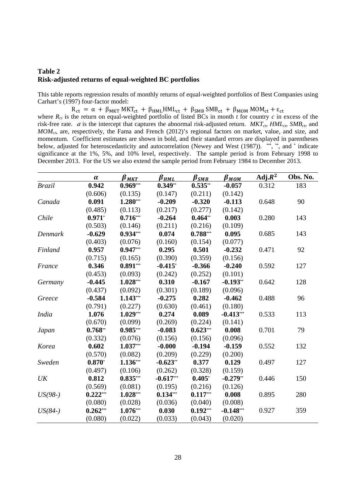# **Table 2 Risk-adjusted returns of equal-weighted BC portfolios**

This table reports regression results of monthly returns of equal-weighted portfolios of Best Companies using Carhart's (1997) four-factor model:

 $R_{ct} = \alpha + \beta_{MKT} MKT_{ct} + \beta_{HML} HML_{ct} + \beta_{SMB} SMB_{ct} + \beta_{MOM} MOM_{c} + \epsilon_{ct}$ 

where  $R_{ct}$  is the return on equal-weighted portfolio of listed BCs in month  $t$  for country  $c$  in excess of the risk-free rate.  $\alpha$  is the intercept that captures the abnormal risk-adjusted return.  $MKT_{cb} HML_{cb} SMB_{cb}$  and *MOMct*, are, respectively, the Fama and French (2012)'s regional factors on market, value, and size, and momentum. Coefficient estimates are shown in bold, and their standard errors are displayed in parentheses below, adjusted for heteroscedasticity and autocorrelation (Newey and West (1987)). **\*\*\***, **\*\***, and **\*** indicate significance at the 1%, 5%, and 10% level, respectively. The sample period is from February 1998 to December 2013. For the US we also extend the sample period from February 1984 to December 2013.

|               | $\alpha$   | $\pmb{\beta}_{MKT}$ | $\beta_{HML}$ | $\pmb{\beta}_{\pmb{SMB}}$ | $\pmb{\beta}_{\textit{MOM}}$ | $\overline{\text{Adj}.R}^2$ | Obs. No. |
|---------------|------------|---------------------|---------------|---------------------------|------------------------------|-----------------------------|----------|
| <b>Brazil</b> | 0.942      | $0.969***$          | $0.349**$     | $0.535**$                 | $-0.057$                     | 0.312                       | 183      |
|               | (0.606)    | (0.135)             | (0.147)       | (0.211)                   | (0.142)                      |                             |          |
| Canada        | 0.091      | $1.280***$          | $-0.209$      | $-0.320$                  | $-0.113$                     | 0.648                       | 90       |
|               | (0.485)    | (0.113)             | (0.217)       | (0.277)                   | (0.142)                      |                             |          |
| Chile         | $0.971*$   | $0.716***$          | $-0.264$      | $0.464**$                 | 0.003                        | 0.280                       | 143      |
|               | (0.503)    | (0.146)             | (0.211)       | (0.216)                   | (0.109)                      |                             |          |
| Denmark       | $-0.629$   | $0.934***$          | 0.074         | $0.788***$                | 0.095                        | 0.685                       | 143      |
|               | (0.403)    | (0.076)             | (0.160)       | (0.154)                   | (0.077)                      |                             |          |
| Finland       | 0.957      | $0.947***$          | 0.295         | 0.501                     | $-0.232$                     | 0.471                       | 92       |
|               | (0.715)    | (0.165)             | (0.390)       | (0.359)                   | (0.156)                      |                             |          |
| France        | 0.346      | $0.891***$          | $-0.415$ *    | $-0.366$                  | $-0.240$                     | 0.592                       | 127      |
|               | (0.453)    | (0.093)             | (0.242)       | (0.252)                   | (0.101)                      |                             |          |
| Germany       | $-0.445$   | $1.028***$          | 0.310         | $-0.167$                  | $-0.193**$                   | 0.642                       | 128      |
|               | (0.437)    | (0.092)             | (0.301)       | (0.189)                   | (0.096)                      |                             |          |
| Greece        | $-0.584$   | $1.143***$          | $-0.275$      | 0.282                     | $-0.462$                     | 0.488                       | 96       |
|               | (0.791)    | (0.227)             | (0.630)       | (0.461)                   | (0.180)                      |                             |          |
| <b>India</b>  | 1.076      | $1.029***$          | 0.274         | 0.089                     | $-0.413***$                  | 0.533                       | 113      |
|               | (0.670)    | (0.099)             | (0.269)       | (0.224)                   | (0.141)                      |                             |          |
| Japan         | $0.768**$  | $0.985***$          | $-0.083$      | $0.623***$                | 0.008                        | 0.701                       | 79       |
|               | (0.332)    | (0.076)             | (0.156)       | (0.156)                   | (0.096)                      |                             |          |
| Korea         | 0.602      | $1.037***$          | $-0.000$      | $-0.194$                  | $-0.159$                     | 0.552                       | 132      |
|               | (0.570)    | (0.082)             | (0.209)       | (0.229)                   | (0.200)                      |                             |          |
| Sweden        | $0.870*$   | $1.136***$          | $-0.623**$    | 0.377                     | 0.129                        | 0.497                       | 127      |
|               | (0.497)    | (0.106)             | (0.262)       | (0.328)                   | (0.159)                      |                             |          |
| UK            | 0.812      | $0.835***$          | $-0.617***$   | $0.405*$                  | $-0.279**$                   | 0.446                       | 150      |
|               | (0.569)    | (0.081)             | (0.195)       | (0.216)                   | (0.126)                      |                             |          |
| $US(98-)$     | $0.222***$ | $1.028***$          | $0.134***$    | $0.117***$                | 0.008                        | 0.895                       | 280      |
|               | (0.080)    | (0.028)             | (0.036)       | (0.040)                   | (0.008)                      |                             |          |
| $US(84-)$     | $0.262***$ | $1.076***$          | 0.030         | $0.192***$                | $-0.148***$                  | 0.927                       | 359      |
|               | (0.080)    | (0.022)             | (0.033)       | (0.043)                   | (0.020)                      |                             |          |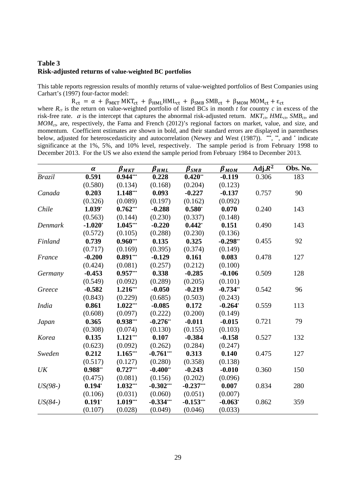# **Table 3 Risk-adjusted returns of value-weighted BC portfolios**

This table reports regression results of monthly returns of value-weighted portfolios of Best Companies using Carhart's (1997) four-factor model:

 $R_{ct} = \alpha + \beta_{MKT} MKT_{ct} + \beta_{HML} HML_{ct} + \beta_{SMB} SMB_{ct} + \beta_{MOM} MOM_{c} + \epsilon_{ct}$ 

where  $R_{ct}$  is the return on value-weighted portfolio of listed BCs in month  $t$  for country  $c$  in excess of the risk-free rate.  $\alpha$  is the intercept that captures the abnormal risk-adjusted return.  $MKT_{cb} HML_{cb} SMB_{ct}$ , and *MOMct*, are, respectively, the Fama and French (2012)'s regional factors on market, value, and size, and momentum. Coefficient estimates are shown in bold, and their standard errors are displayed in parentheses below, adjusted for heteroscedasticity and autocorrelation (Newey and West (1987)). **\*\*\***, **\*\***, and **\*** indicate significance at the 1%, 5%, and 10% level, respectively. The sample period is from February 1998 to December 2013. For the US we also extend the sample period from February 1984 to December 2013.

|               | $\pmb{\alpha}$ | $\pmb{\beta}_{\textit{MKT}}$ | $\beta_{\text{HML}}$ | $\beta_{SMB}$ | $\pmb{\beta}_{\textit{MOM}}$ | $Adj.R^2$ | Obs. No. |
|---------------|----------------|------------------------------|----------------------|---------------|------------------------------|-----------|----------|
| <b>Brazil</b> | 0.591          | $0.944***$                   | 0.228                | $0.420**$     | $-0.119$                     | 0.306     | 183      |
|               | (0.580)        | (0.134)                      | (0.168)              | (0.204)       | (0.123)                      |           |          |
| Canada        | 0.203          | $1.148***$                   | 0.093                | $-0.227$      | $-0.137$                     | 0.757     | 90       |
|               | (0.326)        | (0.089)                      | (0.197)              | (0.162)       | (0.092)                      |           |          |
| Chile         | $1.039*$       | $0.762***$                   | $-0.288$             | $0.580*$      | 0.070                        | 0.240     | 143      |
|               | (0.563)        | (0.144)                      | (0.230)              | (0.337)       | (0.148)                      |           |          |
| Denmark       | $-1.020*$      | $1.045***$                   | $-0.220$             | $0.442*$      | 0.151                        | 0.490     | 143      |
|               | (0.572)        | (0.105)                      | (0.288)              | (0.230)       | (0.136)                      |           |          |
| Finland       | 0.739          | $0.960***$                   | 0.135                | 0.325         | $-0.298**$                   | 0.455     | 92       |
|               | (0.717)        | (0.169)                      | (0.395)              | (0.374)       | (0.149)                      |           |          |
| France        | $-0.200$       | $0.891***$                   | $-0.129$             | 0.161         | 0.083                        | 0.478     | 127      |
|               | (0.424)        | (0.081)                      | (0.257)              | (0.212)       | (0.100)                      |           |          |
| Germany       | $-0.453$       | $0.957***$                   | 0.338                | $-0.285$      | $-0.106$                     | 0.509     | 128      |
|               | (0.549)        | (0.092)                      | (0.289)              | (0.205)       | (0.101)                      |           |          |
| Greece        | $-0.582$       | $1.216***$                   | $-0.050$             | $-0.219$      | $-0.734**$                   | 0.542     | 96       |
|               | (0.843)        | (0.229)                      | (0.685)              | (0.503)       | (0.243)                      |           |          |
| <i>India</i>  | 0.861          | $1.022***$                   | $-0.085$             | 0.172         | $-0.264*$                    | 0.559     | 113      |
|               | (0.608)        | (0.097)                      | (0.222)              | (0.200)       | (0.149)                      |           |          |
| Japan         | 0.365          | $0.938***$                   | $-0.276**$           | $-0.011$      | $-0.015$                     | 0.721     | 79       |
|               | (0.308)        | (0.074)                      | (0.130)              | (0.155)       | (0.103)                      |           |          |
| Korea         | 0.135          | $1.121***$                   | 0.107                | $-0.384$      | $-0.158$                     | 0.527     | 132      |
|               | (0.623)        | (0.092)                      | (0.262)              | (0.284)       | (0.247)                      |           |          |
| Sweden        | 0.212          | $1.165***$                   | $-0.761***$          | 0.313         | 0.140                        | 0.475     | 127      |
|               | (0.517)        | (0.127)                      | (0.280)              | (0.358)       | (0.138)                      |           |          |
| UK            | $0.988**$      | $0.727***$                   | $-0.400**$           | $-0.243$      | $-0.010$                     | 0.360     | 150      |
|               | (0.475)        | (0.081)                      | (0.156)              | (0.202)       | (0.096)                      |           |          |
| $US(98-)$     | $0.194*$       | $1.032***$                   | $-0.302***$          | $-0.237***$   | 0.007                        | 0.834     | 280      |
|               | (0.106)        | (0.031)                      | (0.060)              | (0.051)       | (0.007)                      |           |          |
| $US(84-)$     | $0.191*$       | $1.019***$                   | $-0.334***$          | $-0.153***$   | $-0.063*$                    | 0.862     | 359      |
|               | (0.107)        | (0.028)                      | (0.049)              | (0.046)       | (0.033)                      |           |          |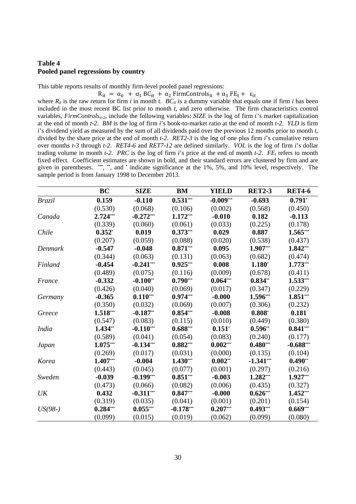# **Table 4 Pooled panel regressions by country**

This table reports results of monthly firm-level pooled panel regressions:

 $R_{it} = \alpha_0 + \alpha_1 BC_{it} + \alpha_2 FirmControls_{it} + \alpha_3 FE_t + \varepsilon_{it}$ where  $R_{it}$  is the raw return for firm *i* in month *t*.  $BC_{it}$  is a dummy variable that equals one if firm *i* has been included in the most recent BC list prior to month *t*, and zero otherwise. The firm characteristics control variables, *FirmControls<sub>it-2</sub>*, include the following variables: *SIZE* is the log of firm *i*'s market capitalization at the end of month *t-2*. *BM* is the log of firm *i*'s book-to-market ratio at the end of month *t-2*. *YLD* is firm *i*'s dividend yield as measured by the sum of all dividends paid over the previous 12 months prior to month *t*, divided by the share price at the end of month *t-2*. *RET2-3* is the log of one plus firm *i*'s cumulative return over months *t-3* through *t-2*. *RET4-6* and *RET7-12* are defined similarly. *VOL* is the log of firm *i*'s dollar trading volume in month *t-2*. *PRC* is the log of firm *i*'s price at the end of month *t-2*. *FE<sub>t</sub>* refers to month fixed effect. Coefficient estimates are shown in bold, and their standard errors are clustered by firm and are given in parentheses. **\*\*\***, **\*\***, and **\*** indicate significance at the 1%, 5%, and 10% level, respectively. The sample period is from January 1998 to December 2013.

|               | <b>BC</b>  | <b>SIZE</b> | <b>BM</b>   | <b>YIELD</b> | <b>RET2-3</b> | <b>RET4-6</b> |
|---------------|------------|-------------|-------------|--------------|---------------|---------------|
| <b>Brazil</b> | 0.159      | $-0.110$    | $0.531***$  | $-0.009***$  | $-0.693$      | $0.791*$      |
|               | (0.530)    | (0.068)     | (0.106)     | (0.002)      | (0.568)       | (0.450)       |
| Canada        | 2.724***   | $-0.272***$ | $1.172***$  | $-0.010$     | 0.182         | $-0.113$      |
|               | (0.339)    | (0.060)     | (0.061)     | (0.033)      | (0.225)       | (0.178)       |
| Chile         | $0.352*$   | 0.019       | $0.373***$  | 0.029        | 0.887         | 1.565***      |
|               | (0.207)    | (0.059)     | (0.088)     | (0.020)      | (0.538)       | (0.437)       |
| Denmark       | $-0.547$   | $-0.048$    | $0.871***$  | 0.095        | 1.907***      | 1.842***      |
|               | (0.344)    | (0.063)     | (0.131)     | (0.063)      | (0.682)       | (0.474)       |
| Finland       | $-0.454$   | $-0.241***$ | $0.925***$  | 0.008        | $1.180*$      | $1.773***$    |
|               | (0.489)    | (0.075)     | (0.116)     | (0.009)      | (0.678)       | (0.411)       |
| France        | $-0.332$   | $-0.100**$  | $0.790***$  | $0.064***$   | $0.834**$     | $1.533***$    |
|               | (0.426)    | (0.040)     | (0.069)     | (0.017)      | (0.347)       | (0.229)       |
| Germany       | $-0.365$   | $0.110***$  | $0.974***$  | $-0.000$     | 1.596***      | $1.851***$    |
|               | (0.350)    | (0.032)     | (0.069)     | (0.007)      | (0.306)       | (0.232)       |
| Greece        | 1.518***   | $-0.187**$  | $0.854***$  | $-0.008$     | $0.808*$      | 0.181         |
|               | (0.547)    | (0.083)     | (0.115)     | (0.010)      | (0.449)       | (0.380)       |
| <b>India</b>  | 1.434**    | $-0.110***$ | $0.688***$  | $0.151*$     | $0.596**$     | $0.841***$    |
|               | (0.589)    | (0.041)     | (0.054)     | (0.083)      | (0.240)       | (0.177)       |
| Japan         | $1.075***$ | $-0.134***$ | $0.882***$  | $0.002***$   | $0.480***$    | $-0.688***$   |
|               | (0.269)    | (0.017)     | (0.031)     | (0.000)      | (0.135)       | (0.104)       |
| Korea         | 1.407***   | $-0.004$    | $1.430***$  | $0.002**$    | $-1.341***$   | $0.490**$     |
|               | (0.443)    | (0.045)     | (0.077)     | (0.001)      | (0.297)       | (0.216)       |
| Sweden        | $-0.039$   | $-0.199***$ | $0.851***$  | $-0.003$     | 1.282***      | 1.927***      |
|               | (0.473)    | (0.066)     | (0.082)     | (0.006)      | (0.435)       | (0.327)       |
| UK            | 0.432      | $-0.311***$ | $0.847***$  | $-0.000$     | $0.626***$    | $1.452***$    |
|               | (0.319)    | (0.035)     | (0.041)     | (0.001)      | (0.201)       | (0.154)       |
| $US(98-)$     | $0.284***$ | $0.055***$  | $-0.178***$ | $0.207***$   | $0.493***$    | $0.669***$    |
|               | (0.099)    | (0.015)     | (0.019)     | (0.062)      | (0.099)       | (0.080)       |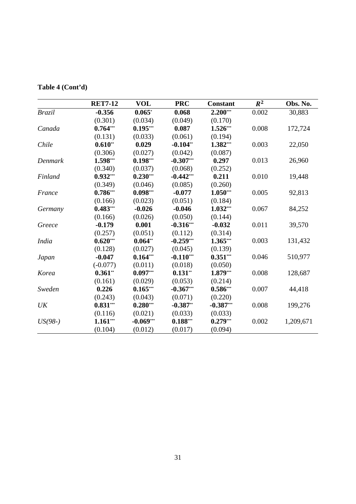|               | <b>RET7-12</b> | <b>VOL</b>  | <b>PRC</b>  | <b>Constant</b> | $R^2$ | Obs. No.  |
|---------------|----------------|-------------|-------------|-----------------|-------|-----------|
| <b>Brazil</b> | $-0.356$       | $0.065*$    | 0.068       | $2.200***$      | 0.002 | 30,883    |
|               | (0.301)        | (0.034)     | (0.049)     | (0.170)         |       |           |
| Canada        | $0.764***$     | $0.195***$  | 0.087       | $1.526***$      | 0.008 | 172,724   |
|               | (0.131)        | (0.033)     | (0.061)     | (0.194)         |       |           |
| Chile         | $0.610**$      | 0.029       | $-0.104**$  | $1.382***$      | 0.003 | 22,050    |
|               | (0.306)        | (0.027)     | (0.042)     | (0.087)         |       |           |
| Denmark       | 1.598***       | $0.198***$  | $-0.307***$ | 0.297           | 0.013 | 26,960    |
|               | (0.340)        | (0.037)     | (0.068)     | (0.252)         |       |           |
| Finland       | $0.932***$     | $0.230***$  | $-0.442***$ | 0.211           | 0.010 | 19,448    |
|               | (0.349)        | (0.046)     | (0.085)     | (0.260)         |       |           |
| France        | $0.786***$     | $0.098***$  | $-0.077$    | $1.050***$      | 0.005 | 92,813    |
|               | (0.166)        | (0.023)     | (0.051)     | (0.184)         |       |           |
| Germany       | $0.483***$     | $-0.026$    | $-0.046$    | $1.032***$      | 0.067 | 84,252    |
|               | (0.166)        | (0.026)     | (0.050)     | (0.144)         |       |           |
| Greece        | $-0.179$       | 0.001       | $-0.316***$ | $-0.032$        | 0.011 | 39,570    |
|               | (0.257)        | (0.051)     | (0.112)     | (0.314)         |       |           |
| <b>India</b>  | $0.620***$     | $0.064**$   | $-0.259***$ | $1.365***$      | 0.003 | 131,432   |
|               | (0.128)        | (0.027)     | (0.045)     | (0.139)         |       |           |
| Japan         | $-0.047$       | $0.164***$  | $-0.110***$ | $0.351***$      | 0.046 | 510,977   |
|               | $(-0.077)$     | (0.011)     | (0.018)     | (0.050)         |       |           |
| Korea         | $0.361**$      | $0.097***$  | $0.131**$   | $1.879***$      | 0.008 | 128,687   |
|               | (0.161)        | (0.029)     | (0.053)     | (0.214)         |       |           |
| Sweden        | 0.226          | $0.165***$  | $-0.367***$ | $0.586***$      | 0.007 | 44,418    |
|               | (0.243)        | (0.043)     | (0.071)     | (0.220)         |       |           |
| UK            | $0.831***$     | $0.280***$  | $-0.387**$  | $-0.387***$     | 0.008 | 199,276   |
|               | (0.116)        | (0.021)     | (0.033)     | (0.033)         |       |           |
| $US(98-)$     | $1.161***$     | $-0.069***$ | $0.188***$  | $0.279***$      | 0.002 | 1,209,671 |
|               | (0.104)        | (0.012)     | (0.017)     | (0.094)         |       |           |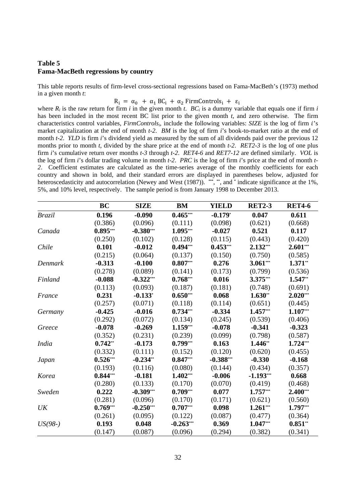# **Table 5 Fama-MacBeth regressions by country**

This table reports results of firm-level cross-sectional regressions based on Fama-MacBeth's (1973) method in a given month *t*:

 $R_i = \alpha_0 + \alpha_1 BC_i + \alpha_2$  FirmControls<sub>i</sub> +  $\varepsilon_i$ 

where  $R_i$  is the raw return for firm *i* in the given month *t*.  $BC_i$  is a dummy variable that equals one if firm *i* has been included in the most recent BC list prior to the given month *t*, and zero otherwise. The firm characteristics control variables, *FirmControls<sub>i</sub>*, include the following variables: *SIZE* is the log of firm *i*'s market capitalization at the end of month *t-2*. *BM* is the log of firm *i*'s book-to-market ratio at the end of month *t*-2. *YLD* is firm *i*'s dividend yield as measured by the sum of all dividends paid over the previous 12 months prior to month *t*, divided by the share price at the end of month *t-2*. *RET2-3* is the log of one plus firm *i*'s cumulative return over months *t-3* through *t-2*. *RET4-6* and *RET7-12* are defined similarly. *VOL* is the log of firm *i*'s dollar trading volume in month *t-2*. *PRC* is the log of firm *i*'s price at the end of month *t-2*. Coefficient estimates are calculated as the time-series average of the monthly coefficients for each country and shown in bold, and their standard errors are displayed in parentheses below, adjusted for heteroscedasticity and autocorrelation (Newey and West (1987)). **\*\*\***, **\*\***, and **\*** indicate significance at the 1%, 5%, and 10% level, respectively. The sample period is from January 1998 to December 2013.

|               | <b>BC</b>  | <b>SIZE</b> | <b>BM</b>   | <b>YIELD</b> | <b>RET2-3</b> | <b>RET4-6</b> |
|---------------|------------|-------------|-------------|--------------|---------------|---------------|
| <b>Brazil</b> | 0.196      | $-0.090$    | $0.465***$  | $-0.179*$    | 0.047         | 0.611         |
|               | (0.386)    | (0.096)     | (0.111)     | (0.098)      | (0.621)       | (0.668)       |
| Canada        | $0.895***$ | $-0.380***$ | 1.095***    | $-0.027$     | 0.521         | 0.117         |
|               | (0.250)    | (0.102)     | (0.128)     | (0.115)      | (0.443)       | (0.420)       |
| Chile         | 0.101      | $-0.012$    | $0.494***$  | $0.453***$   | 2.132***      | $2.601***$    |
|               | (0.215)    | (0.064)     | (0.137)     | (0.150)      | (0.750)       | (0.585)       |
| Denmark       | $-0.313$   | $-0.100$    | $0.807***$  | 0.276        | $3.061***$    | $1.371**$     |
|               | (0.278)    | (0.089)     | (0.141)     | (0.173)      | (0.799)       | (0.536)       |
| Finland       | $-0.088$   | $-0.322***$ | $0.768***$  | 0.016        | 3.375***      | 1.547**       |
|               | (0.113)    | (0.093)     | (0.187)     | (0.181)      | (0.748)       | (0.691)       |
| France        | 0.231      | $-0.133*$   | $0.650***$  | 0.068        | $1.630**$     | $2.020***$    |
|               | (0.257)    | (0.071)     | (0.118)     | (0.114)      | (0.651)       | (0.445)       |
| Germany       | $-0.425$   | $-0.016$    | $0.734***$  | $-0.334$     | $1.457***$    | $1.107***$    |
|               | (0.292)    | (0.072)     | (0.134)     | (0.245)      | (0.539)       | (0.406)       |
| Greece        | $-0.078$   | $-0.269$    | $1.159***$  | $-0.078$     | $-0.341$      | $-0.323$      |
|               | (0.352)    | (0.231)     | (0.239)     | (0.099)      | (0.798)       | (0.587)       |
| <i>India</i>  | $0.742**$  | $-0.173$    | $0.799***$  | 0.163        | 1.446**       | 1.724***      |
|               | (0.332)    | (0.111)     | (0.152)     | (0.120)      | (0.620)       | (0.455)       |
| Japan         | $0.526***$ | $-0.234**$  | $0.847***$  | $-0.388***$  | $-0.330$      | $-0.168$      |
|               | (0.193)    | (0.116)     | (0.080)     | (0.144)      | (0.434)       | (0.357)       |
| Korea         | $0.844***$ | $-0.181$    | $1.402***$  | $-0.006$     | $-1.193***$   | 0.668         |
|               | (0.280)    | (0.133)     | (0.170)     | (0.070)      | (0.419)       | (0.468)       |
| Sweden        | 0.222      | $-0.309***$ | $0.709***$  | 0.077        | $1.757***$    | $2.400***$    |
|               | (0.281)    | (0.096)     | (0.170)     | (0.171)      | (0.621)       | (0.560)       |
| UK            | $0.769***$ | $-0.250***$ | $0.707***$  | 0.098        | $1.261***$    | 1.797***      |
|               | (0.261)    | (0.095)     | (0.122)     | (0.087)      | (0.477)       | (0.364)       |
| $US(98-)$     | 0.193      | 0.048       | $-0.263***$ | 0.369        | 1.047***      | $0.851**$     |
|               | (0.147)    | (0.087)     | (0.096)     | (0.294)      | (0.382)       | (0.341)       |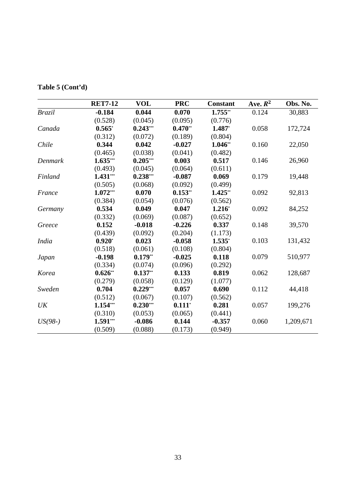| Table 5 (Cont'd) |
|------------------|
|------------------|

|               | <b>RET7-12</b> | <b>VOL</b> | <b>PRC</b> | <b>Constant</b> | Ave. $R^2$ | Obs. No.  |
|---------------|----------------|------------|------------|-----------------|------------|-----------|
| <b>Brazil</b> | $-0.184$       | 0.044      | 0.070      | $1.755**$       | 0.124      | 30,883    |
|               | (0.528)        | (0.045)    | (0.095)    | (0.776)         |            |           |
| Canada        | $0.565*$       | $0.243***$ | $0.470**$  | 1.487*          | 0.058      | 172,724   |
|               | (0.312)        | (0.072)    | (0.189)    | (0.804)         |            |           |
| Chile         | 0.344          | 0.042      | $-0.027$   | $1.046**$       | 0.160      | 22,050    |
|               | (0.465)        | (0.038)    | (0.041)    | (0.482)         |            |           |
| Denmark       | $1.635***$     | $0.205***$ | 0.003      | 0.517           | 0.146      | 26,960    |
|               | (0.493)        | (0.045)    | (0.064)    | (0.611)         |            |           |
| Finland       | $1.431***$     | $0.238***$ | $-0.087$   | 0.069           | 0.179      | 19,448    |
|               | (0.505)        | (0.068)    | (0.092)    | (0.499)         |            |           |
| France        | $1.072***$     | 0.070      | $0.153**$  | $1.425**$       | 0.092      | 92,813    |
|               | (0.384)        | (0.054)    | (0.076)    | (0.562)         |            |           |
| Germany       | 0.534          | 0.049      | 0.047      | $1.216*$        | 0.092      | 84,252    |
|               | (0.332)        | (0.069)    | (0.087)    | (0.652)         |            |           |
| Greece        | 0.152          | $-0.018$   | $-0.226$   | 0.337           | 0.148      | 39,570    |
|               | (0.439)        | (0.092)    | (0.204)    | (1.173)         |            |           |
| <i>India</i>  | $0.920*$       | 0.023      | $-0.058$   | $1.535*$        | 0.103      | 131,432   |
|               | (0.518)        | (0.061)    | (0.108)    | (0.804)         |            |           |
| Japan         | $-0.198$       | $0.179**$  | $-0.025$   | 0.118           | 0.079      | 510,977   |
|               | (0.334)        | (0.074)    | (0.096)    | (0.292)         |            |           |
| Korea         | $0.626**$      | $0.137**$  | 0.133      | 0.819           | 0.062      | 128,687   |
|               | (0.279)        | (0.058)    | (0.129)    | (1.077)         |            |           |
| Sweden        | 0.704          | $0.229***$ | 0.057      | 0.690           | 0.112      | 44,418    |
|               | (0.512)        | (0.067)    | (0.107)    | (0.562)         |            |           |
| UK            | 1.154***       | $0.230***$ | $0.111*$   | 0.281           | 0.057      | 199,276   |
|               | (0.310)        | (0.053)    | (0.065)    | (0.441)         |            |           |
| $US(98-)$     | $1.591***$     | $-0.086$   | 0.144      | $-0.357$        | 0.060      | 1,209,671 |
|               | (0.509)        | (0.088)    | (0.173)    | (0.949)         |            |           |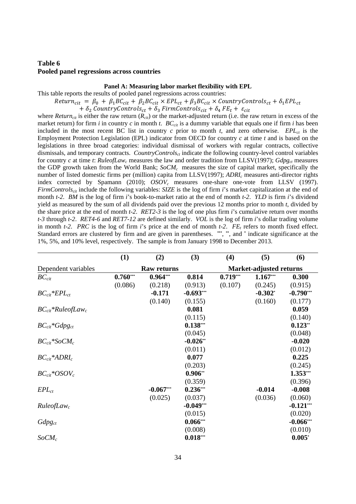# **Table 6 Pooled panel regressions across countries**

## **Panel A: Measuring labor market flexibility with EPL**

This table reports the results of pooled panel regressions across countries:

# $Return_{cit} = \beta_0 + \beta_1 BC_{cit} + \beta_2 BC_{cit} \times EPL_{ct} + \beta_3 BC_{cit} \times CountryControls_{ct} + \delta_1 EPL_{ct}$

 $+\delta_2$  Country Controls<sub>ct</sub> +  $\delta_3$  Firm Controls<sub>cit</sub> +  $\delta_4$  FE<sub>t</sub> +  $\varepsilon_{cit}$ 

where *Return<sub>cit</sub>* is either the raw return  $(R_{cit})$  or the market-adjusted return (i.e. the raw return in excess of the market return) for firm *i* in country *c* in month *t*.  $BC_{cit}$  is a dummy variable that equals one if firm *i* has been included in the most recent BC list in country  $c$  prior to month  $t$ , and zero otherwise. *EPL<sub>ct</sub>* is the Employment Protection Legislation (EPL) indicator from OECD for country *c* at time *t* and is based on the legislations in three broad categories: individual dismissal of workers with regular contracts, collective dismissals, and temporary contracts. *CountryControlsct* indicate the following country-level control variables for country *c* at time *t*: *RuleofLaw<sub>c</sub>* measures the law and order tradition from LLSV(1997); *Gdpg<sub>ct</sub>* measures the GDP growth taken from the World Bank;  $SoCM<sub>c</sub>$  measures the size of capital market, specifically the number of listed domestic firms per (million) capita from LLSV(1997); *ADRIc* measures anti-director rights index corrected by Spamann (2010); *OSOV<sub>c</sub>* measures one-share one-vote from LLSV (1997). *FirmControlscit* include the following variables: *SIZE* is the log of firm *i*'s market capitalization at the end of month *t-2*. *BM* is the log of firm *i*'s book-to-market ratio at the end of month *t-2*. *YLD* is firm *i*'s dividend yield as measured by the sum of all dividends paid over the previous 12 months prior to month *t*, divided by the share price at the end of month *t-2*. *RET2-3* is the log of one plus firm *i*'s cumulative return over months *t-3* through *t-2*. *RET4-6* and *RET7-12* are defined similarly. *VOL* is the log of firm *i*'s dollar trading volume in month  $t-2$ . *PRC* is the log of firm *i*'s price at the end of month  $t-2$ . *FE*, refers to month fixed effect. Standard errors are clustered by firm and are given in parentheses. **\*\*\***, **\*\***, and **\*** indicate significance at the 1%, 5%, and 10% level, respectively. The sample is from January 1998 to December 2013.

|                                    | (1)        | (2)                | (3)         | (4)                            | (5)        | (6)          |  |
|------------------------------------|------------|--------------------|-------------|--------------------------------|------------|--------------|--|
| Dependent variables                |            | <b>Raw returns</b> |             | <b>Market-adjusted returns</b> |            |              |  |
| $BC_{cit}$                         | $0.760***$ | $0.964***$         | 0.814       | $0.719***$                     | $1.167***$ | 0.300        |  |
|                                    | (0.086)    | (0.218)            | (0.913)     | (0.107)                        | (0.245)    | (0.915)      |  |
| $BC_{cit}*EPL_{ct}$                |            | $-0.171$           | $-0.693***$ |                                | $-0.302$ * | $-0.790***$  |  |
|                                    |            | (0.140)            | (0.155)     |                                | (0.160)    | (0.177)      |  |
| $BC_{cit}$ *RuleofLaw <sub>c</sub> |            |                    | 0.081       |                                |            | 0.059        |  |
|                                    |            |                    | (0.115)     |                                |            | (0.140)      |  |
| $BC_{cit}$ *Gdpg <sub>ct</sub>     |            |                    | $0.138***$  |                                |            | $0.123**$    |  |
|                                    |            |                    | (0.045)     |                                |            | (0.048)      |  |
| $BC_{cit}$ *SoCM <sub>c</sub>      |            |                    | $-0.026$ ** |                                |            | $-0.020$     |  |
|                                    |            |                    | (0.011)     |                                |            | (0.012)      |  |
| $BC_{cit}$ *ADRI <sub>c</sub>      |            |                    | 0.077       |                                |            | 0.225        |  |
|                                    |            |                    | (0.203)     |                                |            | (0.245)      |  |
| $BC_{cit}*OSOV_c$                  |            |                    | $0.906**$   |                                |            | $1.353***$   |  |
|                                    |            |                    | (0.359)     |                                |            | (0.396)      |  |
| $EPL_{ct}$                         |            | $-0.067***$        | $0.236***$  |                                | $-0.014$   | $-0.008$     |  |
|                                    |            | (0.025)            | (0.037)     |                                | (0.036)    | (0.060)      |  |
| Rule of Law <sub>c</sub>           |            |                    | $-0.049***$ |                                |            | $-0.121***$  |  |
|                                    |            |                    | (0.015)     |                                |            | (0.020)      |  |
| $Gdpg_{ct}$                        |            |                    | $0.066***$  |                                |            | $-0.066$ *** |  |
|                                    |            |                    | (0.008)     |                                |            | (0.010)      |  |
| $SoCM_c$                           |            |                    | $0.018***$  |                                |            | $0.005*$     |  |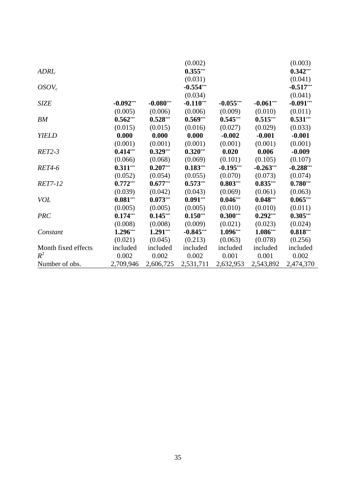|                     |             |             | (0.002)     |             |             | (0.003)     |
|---------------------|-------------|-------------|-------------|-------------|-------------|-------------|
| ADRI <sub>c</sub>   |             |             | $0.355***$  |             |             | $0.342***$  |
|                     |             |             | (0.031)     |             |             | (0.041)     |
| $OSOV_c$            |             |             | $-0.554***$ |             |             | $-0.517***$ |
|                     |             |             | (0.034)     |             |             | (0.041)     |
| <b>SIZE</b>         | $-0.092***$ | $-0.080***$ | $-0.110***$ | $-0.055***$ | $-0.061***$ | $-0.091***$ |
|                     | (0.005)     | (0.006)     | (0.006)     | (0.009)     | (0.010)     | (0.011)     |
| BM                  | $0.562***$  | $0.528***$  | $0.569***$  | $0.545***$  | $0.515***$  | $0.531***$  |
|                     | (0.015)     | (0.015)     | (0.016)     | (0.027)     | (0.029)     | (0.033)     |
| <b>YIELD</b>        | 0.000       | 0.000       | 0.000       | $-0.002$    | $-0.001$    | $-0.001$    |
|                     | (0.001)     | (0.001)     | (0.001)     | (0.001)     | (0.001)     | (0.001)     |
| <b>RET2-3</b>       | $0.414***$  | $0.329***$  | $0.320***$  | 0.020       | 0.006       | $-0.009$    |
|                     | (0.066)     | (0.068)     | (0.069)     | (0.101)     | (0.105)     | (0.107)     |
| <b>RET4-6</b>       | $0.311***$  | $0.207***$  | $0.183***$  | $-0.195***$ | $-0.263***$ | $-0.288***$ |
|                     | (0.052)     | (0.054)     | (0.055)     | (0.070)     | (0.073)     | (0.074)     |
| <b>RET7-12</b>      | $0.772***$  | $0.677***$  | $0.573***$  | $0.803***$  | $0.835***$  | $0.780***$  |
|                     | (0.039)     | (0.042)     | (0.043)     | (0.069)     | (0.061)     | (0.063)     |
| <b>VOL</b>          | $0.081***$  | $0.073***$  | $0.091***$  | $0.046***$  | $0.048***$  | $0.065***$  |
|                     | (0.005)     | (0.005)     | (0.005)     | (0.010)     | (0.010)     | (0.011)     |
| <b>PRC</b>          | $0.174***$  | $0.145***$  | $0.150***$  | $0.300***$  | $0.292***$  | $0.305***$  |
|                     | (0.008)     | (0.008)     | (0.009)     | (0.021)     | (0.023)     | (0.024)     |
| Constant            | $1.296***$  | $1.291***$  | $-0.845***$ | $1.096***$  | 1.086***    | $0.818***$  |
|                     | (0.021)     | (0.045)     | (0.213)     | (0.063)     | (0.078)     | (0.256)     |
| Month fixed effects | included    | included    | included    | included    | included    | included    |
| $R^2$               | 0.002       | 0.002       | 0.002       | 0.001       | 0.001       | 0.002       |
| Number of obs.      | 2,709,946   | 2,606,725   | 2,531,711   | 2,632,953   | 2,543,892   | 2,474,370   |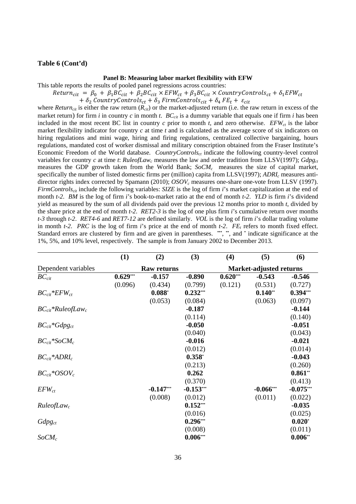#### **Table 6 (Cont'd)**

### **Panel B: Measuring labor market flexibility with EFW**

This table reports the results of pooled panel regressions across countries:

 $Return_{cit} = \beta_0 + \beta_1 BC_{cit} + \beta_2 BC_{cit} \times EFW_{ct} + \beta_3 BC_{cit} \times CountryContols_{ct} + \delta_1 EFW_{ct}$ 

 $+ \delta_2$  CountryControls<sub>ct</sub>  $+ \delta_3$  FirmControls<sub>cit</sub>  $+ \delta_4$  FE<sub>t</sub>  $+ \epsilon_{cit}$ 

where *Return<sub>cit</sub>* is either the raw return  $(R_{cit})$  or the market-adjusted return (i.e. the raw return in excess of the market return) for firm *i* in country *c* in month *t*.  $BC_{cit}$  is a dummy variable that equals one if firm *i* has been included in the most recent BC list in country  $c$  prior to month  $t$ , and zero otherwise.  $EFW<sub>ct</sub>$  is the labor market flexibility indicator for country *c* at time *t* and is calculated as the average score of six indicators on hiring regulations and mini wage, hiring and firing regulations, centralized collective bargaining, hours regulations, mandated cost of worker dismissal and military conscription obtained from the Fraser Institute's Economic Freedom of the World database. *CountryControlsct* indicate the following country-level control variables for country  $c$  at time  $t$ :  $Rule of Law<sub>c</sub>$  measures the law and order tradition from LLSV(1997);  $Gdpg<sub>ct</sub>$ measures the GDP growth taken from the World Bank; *SoCMc* measures the size of capital market, specifically the number of listed domestic firms per (million) capita from LLSV(1997); *ADRIc* measures antidirector rights index corrected by Spamann (2010); *OSOVc* measures one-share one-vote from LLSV (1997). *FirmControlscit* include the following variables: *SIZE* is the log of firm *i*'s market capitalization at the end of month *t-2*. *BM* is the log of firm *i*'s book-to-market ratio at the end of month *t-2*. *YLD* is firm *i*'s dividend yield as measured by the sum of all dividends paid over the previous 12 months prior to month *t*, divided by the share price at the end of month *t-2*. *RET2-3* is the log of one plus firm *i*'s cumulative return over months *t-3* through *t-2*. *RET4-6* and *RET7-12* are defined similarly. *VOL* is the log of firm *i*'s dollar trading volume in month  $t-2$ . *PRC* is the log of firm *i*'s price at the end of month  $t-2$ . *FE<sub>t</sub>* refers to month fixed effect. Standard errors are clustered by firm and are given in parentheses. **\*\*\***, **\*\***, and **\*** indicate significance at the 1%, 5%, and 10% level, respectively. The sample is from January 2002 to December 2013.

|                                    | (1)                | (2)         | (3)         | (4)                            | (5)         | (6)         |  |
|------------------------------------|--------------------|-------------|-------------|--------------------------------|-------------|-------------|--|
| Dependent variables                | <b>Raw returns</b> |             |             | <b>Market-adjusted returns</b> |             |             |  |
| $BC_{cit}$                         | $0.629***$         | $-0.157$    | $-0.890$    | $0.620***$                     | $-0.543$    | $-0.546$    |  |
|                                    | (0.096)            | (0.434)     | (0.799)     | (0.121)                        | (0.531)     | (0.727)     |  |
| $BC_{cit}$ * $EFW_{ct}$            |                    | $0.088*$    | $0.232***$  |                                | $0.140**$   | $0.394***$  |  |
|                                    |                    | (0.053)     | (0.084)     |                                | (0.063)     | (0.097)     |  |
| $BC_{cit}$ *RuleofLaw <sub>c</sub> |                    |             | $-0.187$    |                                |             | $-0.144$    |  |
|                                    |                    |             | (0.114)     |                                |             | (0.140)     |  |
| $BC_{cit}$ *Gdpg <sub>ct</sub>     |                    |             | $-0.050$    |                                |             | $-0.051$    |  |
|                                    |                    |             | (0.040)     |                                |             | (0.043)     |  |
| $BC_{cit}$ *SoCM <sub>c</sub>      |                    |             | $-0.016$    |                                |             | $-0.021$    |  |
|                                    |                    |             | (0.012)     |                                |             | (0.014)     |  |
| $BC_{cit}$ *ADRI <sub>c</sub>      |                    |             | $0.358*$    |                                |             | $-0.043$    |  |
|                                    |                    |             | (0.213)     |                                |             | (0.260)     |  |
| $BC_{cit}$ *OSOV <sub>c</sub>      |                    |             | 0.262       |                                |             | $0.861**$   |  |
|                                    |                    |             | (0.370)     |                                |             | (0.413)     |  |
| $EFW_{ct}$                         |                    | $-0.147***$ | $-0.153***$ |                                | $-0.066***$ | $-0.075***$ |  |
|                                    |                    | (0.008)     | (0.012)     |                                | (0.011)     | (0.022)     |  |
| Rule of Law <sub>c</sub>           |                    |             | $0.152***$  |                                |             | $-0.035$    |  |
|                                    |                    |             | (0.016)     |                                |             | (0.025)     |  |
| $Gdpg_{ct}$                        |                    |             | $0.296***$  |                                |             | $0.020*$    |  |
|                                    |                    |             | (0.008)     |                                |             | (0.011)     |  |
| $SoCM_c$                           |                    |             | $0.006***$  |                                |             | $0.006**$   |  |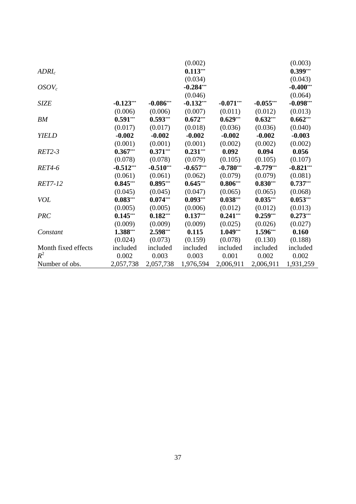|                     |             |             | (0.002)     |             |             | (0.003)     |
|---------------------|-------------|-------------|-------------|-------------|-------------|-------------|
| ADRI <sub>c</sub>   |             |             | $0.113***$  |             |             | $0.399***$  |
|                     |             |             | (0.034)     |             |             | (0.043)     |
| $OSOV_c$            |             |             | $-0.284***$ |             |             | $-0.400***$ |
|                     |             |             | (0.046)     |             |             | (0.064)     |
| <b>SIZE</b>         | $-0.123***$ | $-0.086***$ | $-0.132***$ | $-0.071***$ | $-0.055***$ | $-0.098***$ |
|                     | (0.006)     | (0.006)     | (0.007)     | (0.011)     | (0.012)     | (0.013)     |
| BM                  | $0.591***$  | $0.593***$  | $0.672***$  | $0.629***$  | $0.632***$  | $0.662***$  |
|                     | (0.017)     | (0.017)     | (0.018)     | (0.036)     | (0.036)     | (0.040)     |
| <b>YIELD</b>        | $-0.002$    | $-0.002$    | $-0.002$    | $-0.002$    | $-0.002$    | $-0.003$    |
|                     | (0.001)     | (0.001)     | (0.001)     | (0.002)     | (0.002)     | (0.002)     |
| <b>RET2-3</b>       | $0.367***$  | $0.371***$  | $0.231***$  | 0.092       | 0.094       | 0.056       |
|                     | (0.078)     | (0.078)     | (0.079)     | (0.105)     | (0.105)     | (0.107)     |
| <b>RET4-6</b>       | $-0.512***$ | $-0.510***$ | $-0.657***$ | $-0.780***$ | $-0.779***$ | $-0.821***$ |
|                     | (0.061)     | (0.061)     | (0.062)     | (0.079)     | (0.079)     | (0.081)     |
| RET7-12             | $0.845***$  | $0.895***$  | $0.645***$  | $0.806***$  | $0.830***$  | $0.737***$  |
|                     | (0.045)     | (0.045)     | (0.047)     | (0.065)     | (0.065)     | (0.068)     |
| <b>VOL</b>          | $0.083***$  | $0.074***$  | $0.093***$  | $0.038***$  | $0.035***$  | $0.053***$  |
|                     | (0.005)     | (0.005)     | (0.006)     | (0.012)     | (0.012)     | (0.013)     |
| <b>PRC</b>          | $0.145***$  | $0.182***$  | $0.137***$  | $0.241***$  | $0.259***$  | $0.273***$  |
|                     | (0.009)     | (0.009)     | (0.009)     | (0.025)     | (0.026)     | (0.027)     |
| Constant            | 1.388***    | 2.598***    | 0.115       | $1.049***$  | 1.596***    | 0.160       |
|                     | (0.024)     | (0.073)     | (0.159)     | (0.078)     | (0.130)     | (0.188)     |
| Month fixed effects | included    | included    | included    | included    | included    | included    |
| $R^2$               | 0.002       | 0.003       | 0.003       | 0.001       | 0.002       | 0.002       |
| Number of obs.      | 2,057,738   | 2,057,738   | 1,976,594   | 2,006,911   | 2,006,911   | 1,931,259   |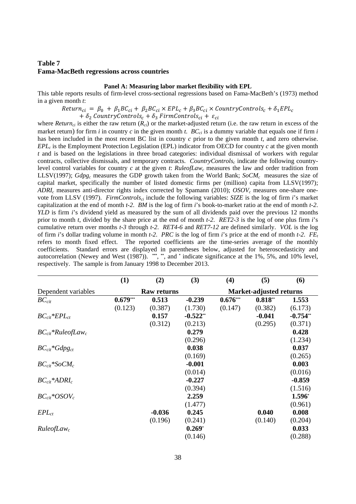# **Table 7 Fama-MacBeth regressions across countries**

#### **Panel A: Measuring labor market flexibility with EPL**

This table reports results of firm-level cross-sectional regressions based on Fama-MacBeth's (1973) method in a given month *t*:

 $Return_{ci} = \beta_0 + \beta_1 BC_{ci} + \beta_2 BC_{ci} \times EPL_c + \beta_3 BC_{ci} \times CountryContents_c + \delta_1 EPL_c$ 

 $+ \delta_2$  CountryControls<sub>c</sub> +  $\delta_3$  FirmControls<sub>ci</sub> +  $\varepsilon_{ci}$ 

where *Return<sub>ci</sub>* is either the raw return  $(R_{ci})$  or the market-adjusted return (i.e. the raw return in excess of the market return) for firm *i* in country *c* in the given month *t*.  $BC_{ci}$  is a dummy variable that equals one if firm *i* has been included in the most recent BC list in country *c* prior to the given month *t*, and zero otherwise. *EPLc* is the Employment Protection Legislation (EPL) indicator from OECD for country *c* at the given month *t* and is based on the legislations in three broad categories: individual dismissal of workers with regular contracts, collective dismissals, and temporary contracts. *CountryControlsc* indicate the following countrylevel control variables for country *c* at the given *t*: *RuleofLawc* measures the law and order tradition from LLSV(1997); *Gdpg<sub>c</sub>* measures the GDP growth taken from the World Bank; *SoCM<sub>c</sub>* measures the size of capital market, specifically the number of listed domestic firms per (million) capita from LLSV(1997); *ADRIc* measures anti-director rights index corrected by Spamann (2010); *OSOVc* measures one-share onevote from LLSV (1997). *FirmControlsci* include the following variables: *SIZE* is the log of firm *i*'s market capitalization at the end of month *t-2*. *BM* is the log of firm *i*'s book-to-market ratio at the end of month *t-2*. *YLD* is firm *i*'s dividend yield as measured by the sum of all dividends paid over the previous 12 months prior to month *t*, divided by the share price at the end of month *t-2*. *RET2-3* is the log of one plus firm *i*'s cumulative return over months *t-3* through *t-2*. *RET4-6* and *RET7-12* are defined similarly. *VOL* is the log of firm *i*'s dollar trading volume in month *t-2*. *PRC* is the log of firm *i*'s price at the end of month *t-2*. *FEt* refers to month fixed effect. The reported coefficients are the time-series average of the monthly coefficients. Standard errors are displayed in parentheses below, adjusted for heteroscedasticity and autocorrelation (Newey and West (1987)). **\*\*\***, **\*\***, and **\*** indicate significance at the 1%, 5%, and 10% level, respectively. The sample is from January 1998 to December 2013.

|                                    | (1)                | (2)      | (3)        | (4)                            | (5)       | (6)        |  |
|------------------------------------|--------------------|----------|------------|--------------------------------|-----------|------------|--|
| Dependent variables                | <b>Raw returns</b> |          |            | <b>Market-adjusted returns</b> |           |            |  |
| $BC_{cit}$                         | $0.679***$         | 0.513    | $-0.239$   | $0.676***$                     | $0.818**$ | 1.553      |  |
|                                    | (0.123)            | (0.387)  | (1.730)    | (0.147)                        | (0.382)   | (6.173)    |  |
| $BC_{cit}*EPL_{ct}$                |                    | 0.157    | $-0.522**$ |                                | $-0.041$  | $-0.754**$ |  |
|                                    |                    | (0.312)  | (0.213)    |                                | (0.295)   | (0.371)    |  |
| $BC_{cit}$ *RuleofLaw <sub>c</sub> |                    |          | 0.279      |                                |           | 0.428      |  |
|                                    |                    |          | (0.296)    |                                |           | (1.234)    |  |
| $BC_{cit} *Gdpg_{ct}$              |                    |          | 0.038      |                                |           | 0.037      |  |
|                                    |                    |          | (0.169)    |                                |           | (0.265)    |  |
| $BC_{cit}$ *SoCM <sub>c</sub>      |                    |          | $-0.001$   |                                |           | 0.003      |  |
|                                    |                    |          | (0.014)    |                                |           | (0.016)    |  |
| $BC_{cit}$ *ADRI <sub>c</sub>      |                    |          | $-0.227$   |                                |           | $-0.859$   |  |
|                                    |                    |          | (0.394)    |                                |           | (1.516)    |  |
| $BC_{cit}$ *OSOV <sub>c</sub>      |                    |          | 2.259      |                                |           | 1.596*     |  |
|                                    |                    |          | (1.477)    |                                |           | (0.961)    |  |
| $EPL_{ct}$                         |                    | $-0.036$ | 0.245      |                                | 0.040     | 0.008      |  |
|                                    |                    | (0.196)  | (0.241)    |                                | (0.140)   | (0.204)    |  |
| Rule of Law <sub>c</sub>           |                    |          | $0.269*$   |                                |           | 0.033      |  |
|                                    |                    |          | (0.146)    |                                |           | (0.288)    |  |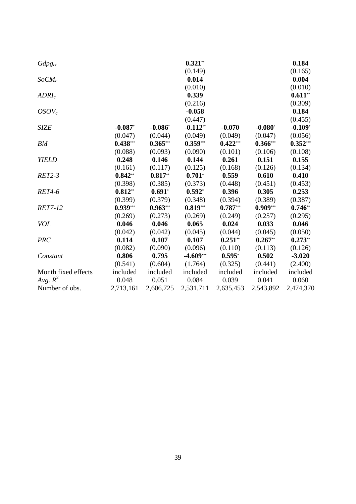| $Gdpg_{ct}$         |            |            | $0.321**$   |            |                       | 0.184      |
|---------------------|------------|------------|-------------|------------|-----------------------|------------|
|                     |            |            | (0.149)     |            |                       | (0.165)    |
| $SoCM_c$            |            |            | 0.014       |            |                       | 0.004      |
|                     |            |            | (0.010)     |            |                       | (0.010)    |
| ADRI <sub>c</sub>   |            |            | 0.339       |            |                       | $0.611**$  |
|                     |            |            | (0.216)     |            |                       | (0.309)    |
| $OSOV_c$            |            |            | $-0.058$    |            |                       | 0.184      |
|                     |            |            | (0.447)     |            |                       | (0.455)    |
| <b>SIZE</b>         | $-0.087$   | $-0.086$   | $-0.112**$  | $-0.070$   | $-0.080$ <sup>*</sup> | $-0.109*$  |
|                     | (0.047)    | (0.044)    | (0.049)     | (0.049)    | (0.047)               | (0.056)    |
| <b>BM</b>           | $0.438***$ | $0.365***$ | $0.359***$  | $0.422***$ | $0.366***$            | $0.352***$ |
|                     | (0.088)    | (0.093)    | (0.090)     | (0.101)    | (0.106)               | (0.108)    |
| <b>YIELD</b>        | 0.248      | 0.146      | 0.144       | 0.261      | 0.151                 | 0.155      |
|                     | (0.161)    | (0.117)    | (0.125)     | (0.168)    | (0.126)               | (0.134)    |
| $RET2-3$            | $0.842**$  | $0.817**$  | $0.701*$    | 0.559      | 0.610                 | 0.410      |
|                     | (0.398)    | (0.385)    | (0.373)     | (0.448)    | (0.451)               | (0.453)    |
| <b>RET4-6</b>       | $0.812**$  | $0.691*$   | $0.592*$    | 0.396      | 0.305                 | 0.253      |
|                     | (0.399)    | (0.379)    | (0.348)     | (0.394)    | (0.389)               | (0.387)    |
| <b>RET7-12</b>      | $0.939***$ | $0.963***$ | $0.819***$  | $0.787***$ | $0.909***$            | $0.746**$  |
|                     | (0.269)    | (0.273)    | (0.269)     | (0.249)    | (0.257)               | (0.295)    |
| <b>VOL</b>          | 0.046      | 0.046      | 0.065       | 0.024      | 0.033                 | 0.046      |
|                     | (0.042)    | (0.042)    | (0.045)     | (0.044)    | (0.045)               | (0.050)    |
| <b>PRC</b>          | 0.114      | 0.107      | 0.107       | $0.251**$  | $0.267**$             | $0.273**$  |
|                     | (0.082)    | (0.090)    | (0.096)     | (0.110)    | (0.113)               | (0.126)    |
| Constant            | 0.806      | 0.795      | $-4.609***$ | $0.595*$   | 0.502                 | $-3.020$   |
|                     | (0.541)    | (0.604)    | (1.764)     | (0.325)    | (0.441)               | (2.400)    |
| Month fixed effects | included   | included   | included    | included   | included              | included   |
| Avg. $R^2$          | 0.048      | 0.051      | 0.084       | 0.039      | 0.041                 | 0.060      |
| Number of obs.      | 2,713,161  | 2,606,725  | 2,531,711   | 2,635,453  | 2,543,892             | 2,474,370  |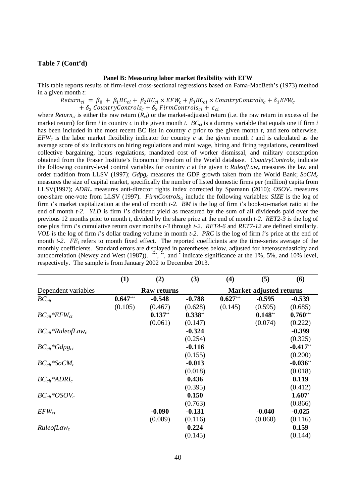## **Table 7 (Cont'd)**

### **Panel B: Measuring labor market flexibility with EFW**

This table reports results of firm-level cross-sectional regressions based on Fama-MacBeth's (1973) method in a given month *t*:

 $Return_{ci} = \beta_0 + \beta_1 BC_{ci} + \beta_2 BC_{ci} \times EFW_c + \beta_3 BC_{ci} \times CountryContents_c + \delta_1 EFW_c$ 

 $+ \delta_2$  CountryControls<sub>c</sub> +  $\delta_3$  FirmControls<sub>ci</sub> +  $\varepsilon_{ci}$ 

where *Return<sub>ci</sub>* is either the raw return  $(R_{ci})$  or the market-adjusted return (i.e. the raw return in excess of the market return) for firm *i* in country *c* in the given month *t*.  $BC_{ci}$  is a dummy variable that equals one if firm *i* has been included in the most recent BC list in country *c* prior to the given month *t*, and zero otherwise. *EFW<sub>c</sub>* is the labor market flexibility indicator for country *c* at the given month *t* and is calculated as the average score of six indicators on hiring regulations and mini wage, hiring and firing regulations, centralized collective bargaining, hours regulations, mandated cost of worker dismissal, and military conscription obtained from the Fraser Institute's Economic Freedom of the World database. *CountryControls<sub>c</sub>* indicate the following country-level control variables for country *c* at the given *t*: *RuleofLawc* measures the law and order tradition from LLSV (1997); *Gdpg<sub>c</sub>* measures the GDP growth taken from the World Bank; *SoCM<sub>c</sub>* measures the size of capital market, specifically the number of listed domestic firms per (million) capita from LLSV(1997); *ADRIc* measures anti-director rights index corrected by Spamann (2010); *OSOVc* measures one-share one-vote from LLSV (1997). *FirmControlsci* include the following variables: *SIZE* is the log of firm *i*'s market capitalization at the end of month *t-2*. *BM* is the log of firm *i*'s book-to-market ratio at the end of month *t-2*. *YLD* is firm *i*'s dividend yield as measured by the sum of all dividends paid over the previous 12 months prior to month *t*, divided by the share price at the end of month *t-2*. *RET2-3* is the log of one plus firm *i*'s cumulative return over months *t-3* through *t-2*. *RET4-6* and *RET7-12* are defined similarly. *VOL* is the log of firm *i*'s dollar trading volume in month *t-2*. *PRC* is the log of firm *i*'s price at the end of month  $t-2$ .  $FE_t$  refers to month fixed effect. The reported coefficients are the time-series average of the monthly coefficients. Standard errors are displayed in parentheses below, adjusted for heteroscedasticity and autocorrelation (Newey and West (1987)). **\*\*\***, **\*\***, and **\*** indicate significance at the 1%, 5%, and 10% level, respectively. The sample is from January 2002 to December 2013.

|                                    | (1)                | (2)       | (3)       | (4)                            | (5)       | (6)        |  |
|------------------------------------|--------------------|-----------|-----------|--------------------------------|-----------|------------|--|
| Dependent variables                | <b>Raw returns</b> |           |           | <b>Market-adjusted returns</b> |           |            |  |
| $BC_{cit}$                         | $0.647***$         | $-0.548$  | $-0.788$  | $0.627***$                     | $-0.595$  | $-0.539$   |  |
|                                    | (0.105)            | (0.467)   | (0.628)   | (0.145)                        | (0.595)   | (0.685)    |  |
| $BC_{cit}$ * $EFW_{ct}$            |                    | $0.137**$ | $0.338**$ |                                | $0.148**$ | $0.760***$ |  |
|                                    |                    | (0.061)   | (0.147)   |                                | (0.074)   | (0.222)    |  |
| $BC_{cit}$ *RuleofLaw <sub>c</sub> |                    |           | $-0.324$  |                                |           | $-0.399$   |  |
|                                    |                    |           | (0.254)   |                                |           | (0.325)    |  |
| $BC_{cit}$ *Gdpg <sub>ct</sub>     |                    |           | $-0.116$  |                                |           | $-0.417**$ |  |
|                                    |                    |           | (0.155)   |                                |           | (0.200)    |  |
| $BC_{cit}*SoCM_c$                  |                    |           | $-0.013$  |                                |           | $-0.036**$ |  |
|                                    |                    |           | (0.018)   |                                |           | (0.018)    |  |
| $BC_{cit}$ *ADRI <sub>c</sub>      |                    |           | 0.436     |                                |           | 0.119      |  |
|                                    |                    |           | (0.395)   |                                |           | (0.412)    |  |
| $BC_{cit}$ *OSOV <sub>c</sub>      |                    |           | 0.150     |                                |           | $1.607*$   |  |
|                                    |                    |           | (0.763)   |                                |           | (0.866)    |  |
| $EFW_{ct}$                         |                    | $-0.090$  | $-0.131$  |                                | $-0.040$  | $-0.025$   |  |
|                                    |                    | (0.089)   | (0.116)   |                                | (0.060)   | (0.116)    |  |
| Rule of Law <sub>c</sub>           |                    |           | 0.224     |                                |           | 0.159      |  |
|                                    |                    |           | (0.145)   |                                |           | (0.144)    |  |